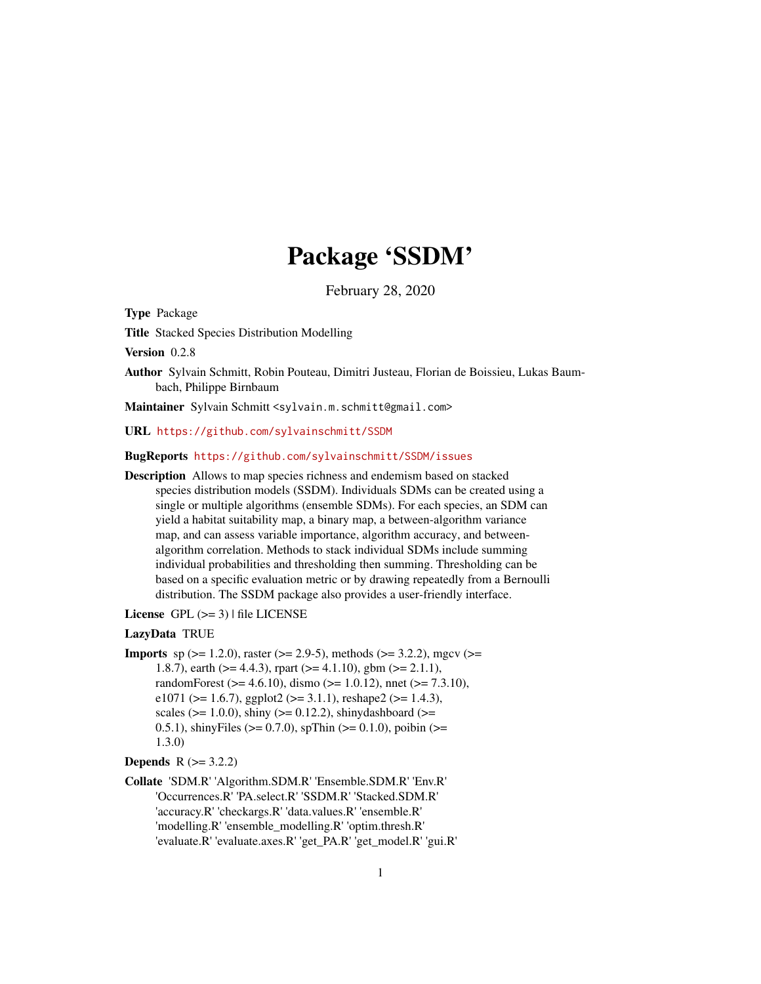# Package 'SSDM'

February 28, 2020

<span id="page-0-0"></span>Type Package

Title Stacked Species Distribution Modelling

Version 0.2.8

Author Sylvain Schmitt, Robin Pouteau, Dimitri Justeau, Florian de Boissieu, Lukas Baumbach, Philippe Birnbaum

Maintainer Sylvain Schmitt <sylvain.m.schmitt@gmail.com>

URL <https://github.com/sylvainschmitt/SSDM>

#### BugReports <https://github.com/sylvainschmitt/SSDM/issues>

Description Allows to map species richness and endemism based on stacked species distribution models (SSDM). Individuals SDMs can be created using a single or multiple algorithms (ensemble SDMs). For each species, an SDM can yield a habitat suitability map, a binary map, a between-algorithm variance map, and can assess variable importance, algorithm accuracy, and betweenalgorithm correlation. Methods to stack individual SDMs include summing individual probabilities and thresholding then summing. Thresholding can be based on a specific evaluation metric or by drawing repeatedly from a Bernoulli distribution. The SSDM package also provides a user-friendly interface.

License  $GPL$  ( $>=$  3) | file LICENSE

## LazyData TRUE

**Imports** sp ( $> = 1.2.0$ ), raster ( $> = 2.9-5$ ), methods ( $> = 3.2.2$ ), mgcv ( $> =$ 1.8.7), earth ( $>= 4.4.3$ ), rpart ( $>= 4.1.10$ ), gbm ( $>= 2.1.1$ ), randomForest ( $> = 4.6.10$ ), dismo ( $> = 1.0.12$ ), nnet ( $> = 7.3.10$ ), e1071 ( $>= 1.6.7$ ), ggplot2 ( $>= 3.1.1$ ), reshape2 ( $>= 1.4.3$ ), scales ( $>= 1.0.0$ ), shiny ( $>= 0.12.2$ ), shinydashboard ( $>=$ 0.5.1), shinyFiles ( $>= 0.7.0$ ), spThin ( $>= 0.1.0$ ), poibin ( $>= 0.5.1$ ) 1.3.0)

## **Depends**  $R$  ( $> = 3.2.2$ )

Collate 'SDM.R' 'Algorithm.SDM.R' 'Ensemble.SDM.R' 'Env.R' 'Occurrences.R' 'PA.select.R' 'SSDM.R' 'Stacked.SDM.R' 'accuracy.R' 'checkargs.R' 'data.values.R' 'ensemble.R' 'modelling.R' 'ensemble\_modelling.R' 'optim.thresh.R' 'evaluate.R' 'evaluate.axes.R' 'get\_PA.R' 'get\_model.R' 'gui.R'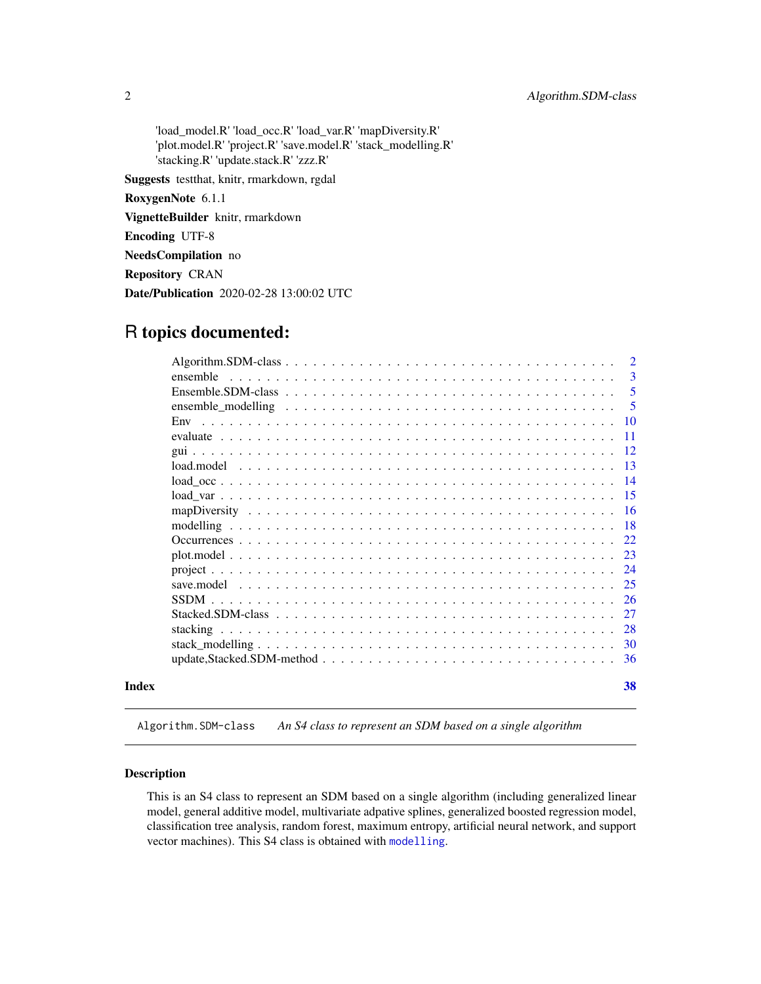<span id="page-1-0"></span>'load\_model.R' 'load\_occ.R' 'load\_var.R' 'mapDiversity.R' 'plot.model.R' 'project.R' 'save.model.R' 'stack\_modelling.R' 'stacking.R' 'update.stack.R' 'zzz.R'

Suggests testthat, knitr, rmarkdown, rgdal

RoxygenNote 6.1.1

VignetteBuilder knitr, rmarkdown

Encoding UTF-8

NeedsCompilation no

Repository CRAN

Date/Publication 2020-02-28 13:00:02 UTC

# R topics documented:

|       |          | 2   |
|-------|----------|-----|
|       | ensemble | 3   |
|       |          | 5   |
|       |          | -5  |
|       |          |     |
|       |          |     |
|       |          |     |
|       |          | -13 |
|       |          |     |
|       |          |     |
|       |          |     |
|       |          |     |
|       |          |     |
|       |          |     |
|       |          | 24  |
|       |          |     |
|       |          |     |
|       |          | -27 |
|       |          |     |
|       |          |     |
|       |          |     |
| Index |          | 38  |

<span id="page-1-1"></span>Algorithm.SDM-class *An S4 class to represent an SDM based on a single algorithm*

## Description

This is an S4 class to represent an SDM based on a single algorithm (including generalized linear model, general additive model, multivariate adpative splines, generalized boosted regression model, classification tree analysis, random forest, maximum entropy, artificial neural network, and support vector machines). This S4 class is obtained with [modelling](#page-17-1).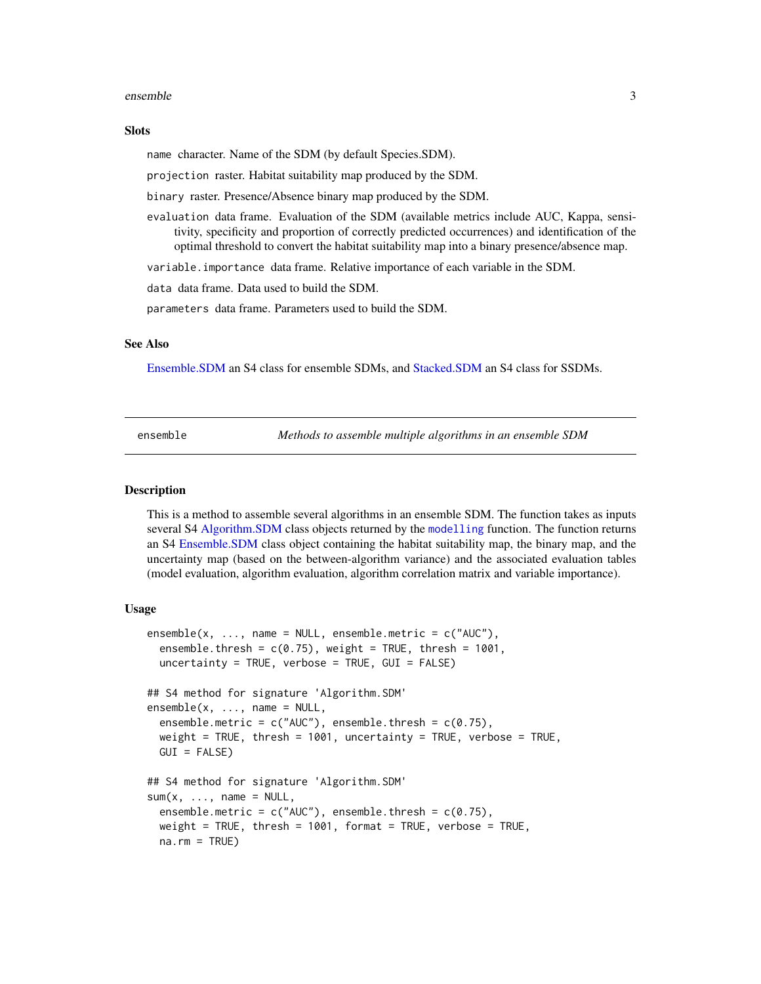#### <span id="page-2-0"></span>ensemble 3

#### **Slots**

name character. Name of the SDM (by default Species.SDM).

projection raster. Habitat suitability map produced by the SDM.

binary raster. Presence/Absence binary map produced by the SDM.

evaluation data frame. Evaluation of the SDM (available metrics include AUC, Kappa, sensitivity, specificity and proportion of correctly predicted occurrences) and identification of the optimal threshold to convert the habitat suitability map into a binary presence/absence map.

variable.importance data frame. Relative importance of each variable in the SDM.

data data frame. Data used to build the SDM.

parameters data frame. Parameters used to build the SDM.

#### See Also

[Ensemble.SDM](#page-4-1) an S4 class for ensemble SDMs, and [Stacked.SDM](#page-26-1) an S4 class for SSDMs.

<span id="page-2-1"></span>ensemble *Methods to assemble multiple algorithms in an ensemble SDM*

#### <span id="page-2-2"></span>Description

This is a method to assemble several algorithms in an ensemble SDM. The function takes as inputs several S4 [Algorithm.SDM](#page-1-1) class objects returned by the [modelling](#page-17-1) function. The function returns an S4 [Ensemble.SDM](#page-4-1) class object containing the habitat suitability map, the binary map, and the uncertainty map (based on the between-algorithm variance) and the associated evaluation tables (model evaluation, algorithm evaluation, algorithm correlation matrix and variable importance).

## Usage

```
ensemble(x, ..., name = NULL, ensemble.metric = c("AUC"),
  ensemble.thresh = c(0.75), weight = TRUE, thresh = 1001,
  uncertainty = TRUE, verbose = TRUE, GUI = FALSE)
## S4 method for signature 'Algorithm.SDM'
ensemble(x, ..., name = NULL,ensemble.metric = c("AUC"), ensemble.thresh = c(0.75),
  weight = TRUE, thresh = 1001, uncertainty = TRUE, verbose = TRUE,
  GUI = FALSE)
## S4 method for signature 'Algorithm.SDM'
sum(x, \ldots, name = NULL,ensemble.metric = c("AUC"), ensemble.thresh = c(0.75),
  weight = TRUE, thresh = 1001, format = TRUE, verbose = TRUE,
  na.rm = TRUE)
```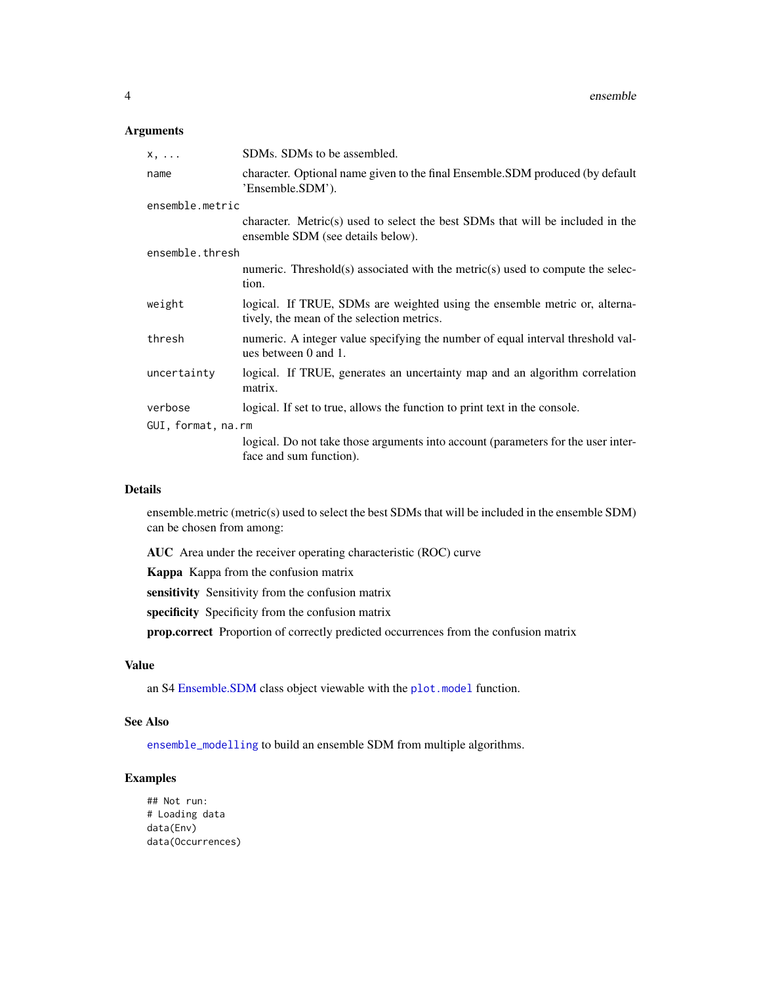## <span id="page-3-0"></span>Arguments

| $X, \ldots$        | SDMs. SDMs to be assembled.                                                                                              |  |
|--------------------|--------------------------------------------------------------------------------------------------------------------------|--|
| name               | character. Optional name given to the final Ensemble. SDM produced (by default<br>'Ensemble.SDM').                       |  |
| ensemble.metric    |                                                                                                                          |  |
|                    | character. Metric(s) used to select the best SDMs that will be included in the<br>ensemble SDM (see details below).      |  |
| ensemble.thresh    |                                                                                                                          |  |
|                    | numeric. Threshold(s) associated with the metric(s) used to compute the selec-<br>tion.                                  |  |
| weight             | logical. If TRUE, SDMs are weighted using the ensemble metric or, alterna-<br>tively, the mean of the selection metrics. |  |
| thresh             | numeric. A integer value specifying the number of equal interval threshold val-<br>ues between 0 and 1.                  |  |
| uncertainty        | logical. If TRUE, generates an uncertainty map and an algorithm correlation<br>matrix.                                   |  |
| verbose            | logical. If set to true, allows the function to print text in the console.                                               |  |
| GUI, format, na.rm |                                                                                                                          |  |
|                    | logical. Do not take those arguments into account (parameters for the user inter-<br>face and sum function).             |  |

## Details

ensemble.metric (metric(s) used to select the best SDMs that will be included in the ensemble SDM) can be chosen from among:

AUC Area under the receiver operating characteristic (ROC) curve

Kappa Kappa from the confusion matrix

sensitivity Sensitivity from the confusion matrix

specificity Specificity from the confusion matrix

prop.correct Proportion of correctly predicted occurrences from the confusion matrix

## Value

an S4 [Ensemble.SDM](#page-4-1) class object viewable with the [plot.model](#page-22-1) function.

## See Also

[ensemble\\_modelling](#page-4-2) to build an ensemble SDM from multiple algorithms.

## Examples

## Not run: # Loading data data(Env) data(Occurrences)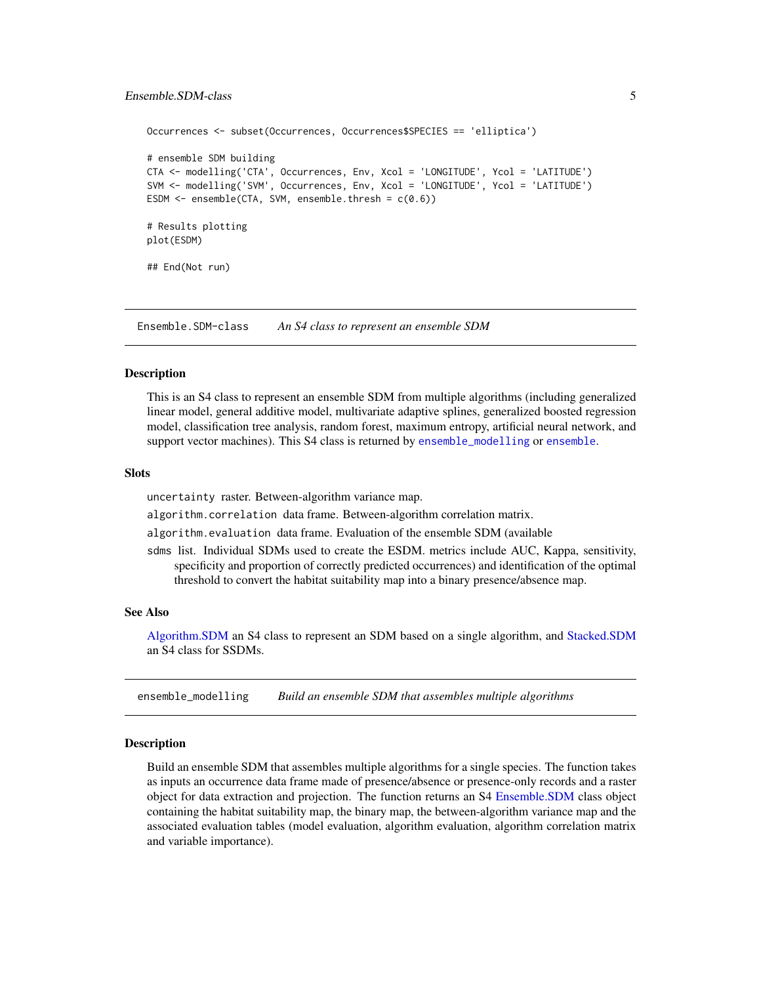## <span id="page-4-0"></span>Ensemble.SDM-class 5

```
Occurrences <- subset(Occurrences, Occurrences$SPECIES == 'elliptica')
# ensemble SDM building
CTA <- modelling('CTA', Occurrences, Env, Xcol = 'LONGITUDE', Ycol = 'LATITUDE')
SVM <- modelling('SVM', Occurrences, Env, Xcol = 'LONGITUDE', Ycol = 'LATITUDE')
ESDM \leq ensemble(CTA, SVM, ensemble.thresh = c(0.6))
# Results plotting
plot(ESDM)
## End(Not run)
```
<span id="page-4-1"></span>Ensemble.SDM-class *An S4 class to represent an ensemble SDM*

#### **Description**

This is an S4 class to represent an ensemble SDM from multiple algorithms (including generalized linear model, general additive model, multivariate adaptive splines, generalized boosted regression model, classification tree analysis, random forest, maximum entropy, artificial neural network, and support vector machines). This S4 class is returned by [ensemble\\_modelling](#page-4-2) or [ensemble](#page-2-1).

#### **Slots**

uncertainty raster. Between-algorithm variance map.

algorithm.correlation data frame. Between-algorithm correlation matrix.

algorithm.evaluation data frame. Evaluation of the ensemble SDM (available

sdms list. Individual SDMs used to create the ESDM. metrics include AUC, Kappa, sensitivity, specificity and proportion of correctly predicted occurrences) and identification of the optimal threshold to convert the habitat suitability map into a binary presence/absence map.

## See Also

[Algorithm.SDM](#page-1-1) an S4 class to represent an SDM based on a single algorithm, and [Stacked.SDM](#page-26-1) an S4 class for SSDMs.

<span id="page-4-2"></span>ensemble\_modelling *Build an ensemble SDM that assembles multiple algorithms*

#### Description

Build an ensemble SDM that assembles multiple algorithms for a single species. The function takes as inputs an occurrence data frame made of presence/absence or presence-only records and a raster object for data extraction and projection. The function returns an S4 [Ensemble.SDM](#page-4-1) class object containing the habitat suitability map, the binary map, the between-algorithm variance map and the associated evaluation tables (model evaluation, algorithm evaluation, algorithm correlation matrix and variable importance).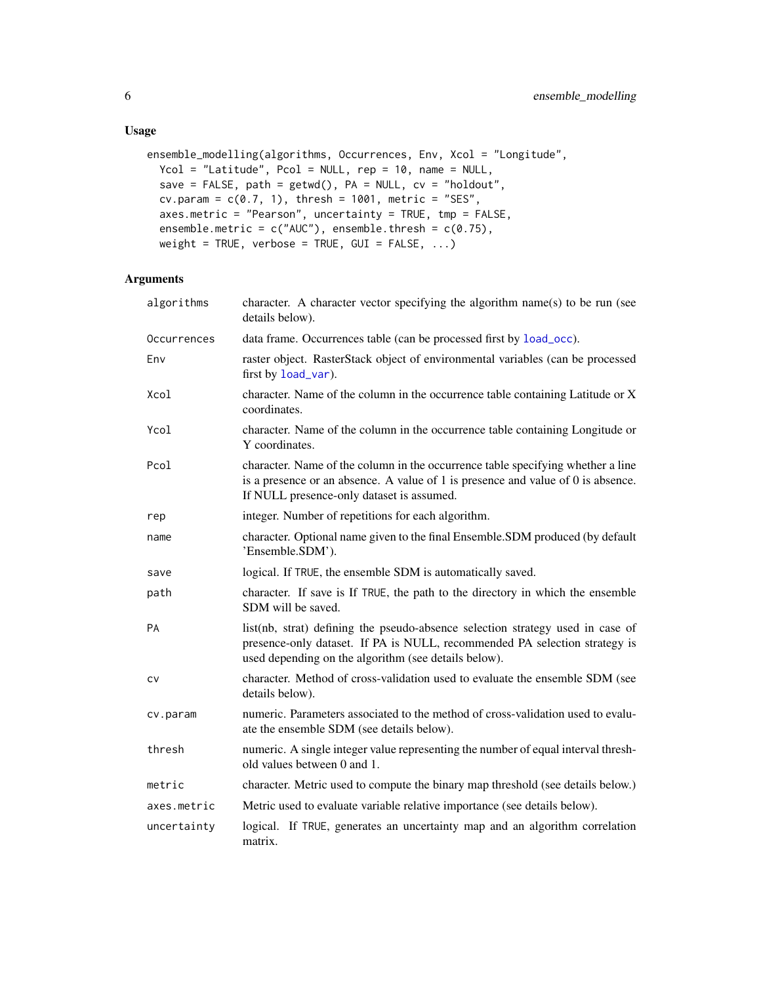```
ensemble_modelling(algorithms, Occurrences, Env, Xcol = "Longitude",
 Ycol = "Latitude", Pcol = NULL, rep = 10, name = NULL,
 save = FALSE, path = getwd(), PA = NULL, cv = "holdout",cv.param = c(0.7, 1), thresh = 1001, metric = "SES",
 axes.metric = "Pearson", uncertainty = TRUE, tmp = FALSE,
 ensemble.metric = c("AUC"), ensemble.thresh = c(0.75),
 weight = TRUE, verbose = TRUE, GUI = FALSE, \ldots)
```

| algorithms  | character. A character vector specifying the algorithm name(s) to be run (see<br>details below).                                                                                                                     |
|-------------|----------------------------------------------------------------------------------------------------------------------------------------------------------------------------------------------------------------------|
| Occurrences | data frame. Occurrences table (can be processed first by load_occ).                                                                                                                                                  |
| Env         | raster object. RasterStack object of environmental variables (can be processed<br>first by load_var).                                                                                                                |
| Xcol        | character. Name of the column in the occurrence table containing Latitude or X<br>coordinates.                                                                                                                       |
| Ycol        | character. Name of the column in the occurrence table containing Longitude or<br>Y coordinates.                                                                                                                      |
| Pcol        | character. Name of the column in the occurrence table specifying whether a line<br>is a presence or an absence. A value of 1 is presence and value of 0 is absence.<br>If NULL presence-only dataset is assumed.     |
| rep         | integer. Number of repetitions for each algorithm.                                                                                                                                                                   |
| name        | character. Optional name given to the final Ensemble.SDM produced (by default<br>'Ensemble.SDM').                                                                                                                    |
| save        | logical. If TRUE, the ensemble SDM is automatically saved.                                                                                                                                                           |
| path        | character. If save is If TRUE, the path to the directory in which the ensemble<br>SDM will be saved.                                                                                                                 |
| PA          | list(nb, strat) defining the pseudo-absence selection strategy used in case of<br>presence-only dataset. If PA is NULL, recommended PA selection strategy is<br>used depending on the algorithm (see details below). |
| CV          | character. Method of cross-validation used to evaluate the ensemble SDM (see<br>details below).                                                                                                                      |
| cv.param    | numeric. Parameters associated to the method of cross-validation used to evalu-<br>ate the ensemble SDM (see details below).                                                                                         |
| thresh      | numeric. A single integer value representing the number of equal interval thresh-<br>old values between 0 and 1.                                                                                                     |
| metric      | character. Metric used to compute the binary map threshold (see details below.)                                                                                                                                      |
| axes.metric | Metric used to evaluate variable relative importance (see details below).                                                                                                                                            |
| uncertainty | logical. If TRUE, generates an uncertainty map and an algorithm correlation<br>matrix.                                                                                                                               |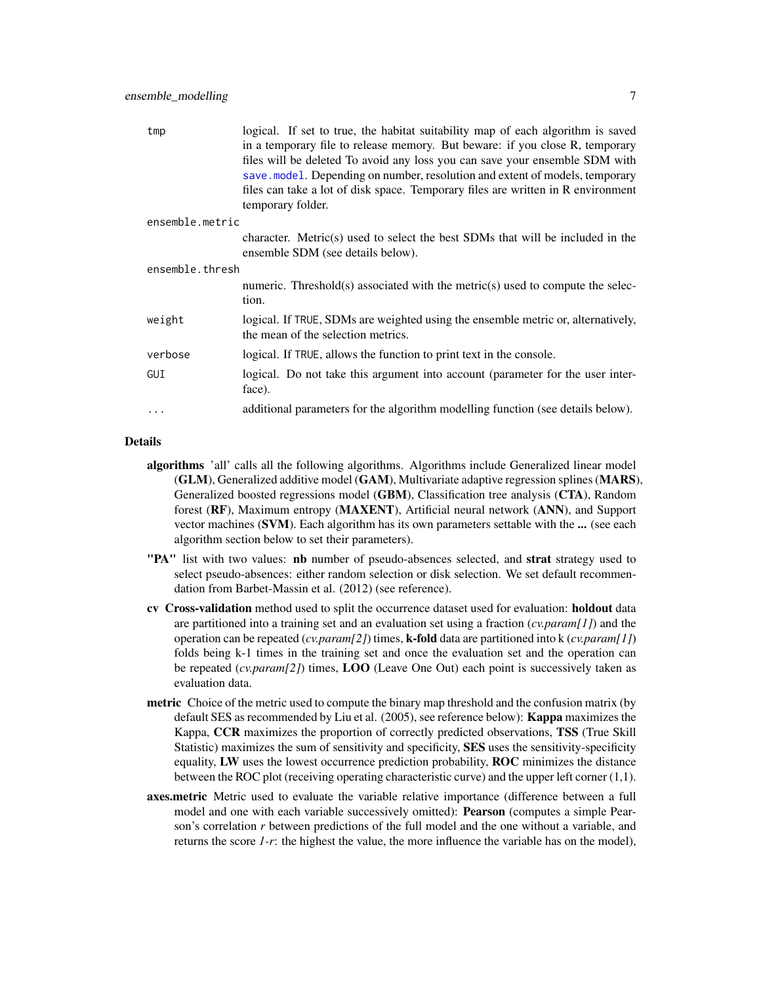<span id="page-6-0"></span>

| tmp             | logical. If set to true, the habitat suitability map of each algorithm is saved<br>in a temporary file to release memory. But beware: if you close R, temporary |
|-----------------|-----------------------------------------------------------------------------------------------------------------------------------------------------------------|
|                 | files will be deleted To avoid any loss you can save your ensemble SDM with                                                                                     |
|                 | save.model. Depending on number, resolution and extent of models, temporary                                                                                     |
|                 | files can take a lot of disk space. Temporary files are written in R environment                                                                                |
|                 | temporary folder.                                                                                                                                               |
| ensemble.metric |                                                                                                                                                                 |
|                 | character. Metric(s) used to select the best SDMs that will be included in the<br>ensemble SDM (see details below).                                             |
| ensemble.thresh |                                                                                                                                                                 |
|                 | numeric. Threshold(s) associated with the metric(s) used to compute the selec-<br>tion.                                                                         |
| weight          | logical. If TRUE, SDMs are weighted using the ensemble metric or, alternatively,<br>the mean of the selection metrics.                                          |
| verbose         | logical. If TRUE, allows the function to print text in the console.                                                                                             |
| GUI             | logical. Do not take this argument into account (parameter for the user inter-<br>face).                                                                        |
| .               | additional parameters for the algorithm modelling function (see details below).                                                                                 |

#### Details

- algorithms 'all' calls all the following algorithms. Algorithms include Generalized linear model (GLM), Generalized additive model (GAM), Multivariate adaptive regression splines (MARS), Generalized boosted regressions model (GBM), Classification tree analysis (CTA), Random forest (RF), Maximum entropy (MAXENT), Artificial neural network (ANN), and Support vector machines (SVM). Each algorithm has its own parameters settable with the ... (see each algorithm section below to set their parameters).
- "PA" list with two values: nb number of pseudo-absences selected, and strat strategy used to select pseudo-absences: either random selection or disk selection. We set default recommendation from Barbet-Massin et al. (2012) (see reference).
- cv Cross-validation method used to split the occurrence dataset used for evaluation: holdout data are partitioned into a training set and an evaluation set using a fraction (*cv.param[1]*) and the operation can be repeated (*cv.param[2]*) times, k-fold data are partitioned into k (*cv.param[1]*) folds being k-1 times in the training set and once the evaluation set and the operation can be repeated (*cv.param[2]*) times, LOO (Leave One Out) each point is successively taken as evaluation data.
- **metric** Choice of the metric used to compute the binary map threshold and the confusion matrix (by default SES as recommended by Liu et al. (2005), see reference below): **Kappa** maximizes the Kappa, CCR maximizes the proportion of correctly predicted observations, TSS (True Skill Statistic) maximizes the sum of sensitivity and specificity, SES uses the sensitivity-specificity equality, LW uses the lowest occurrence prediction probability, ROC minimizes the distance between the ROC plot (receiving operating characteristic curve) and the upper left corner (1,1).
- **axes.metric** Metric used to evaluate the variable relative importance (difference between a full model and one with each variable successively omitted): Pearson (computes a simple Pearson's correlation *r* between predictions of the full model and the one without a variable, and returns the score *1-r*: the highest the value, the more influence the variable has on the model),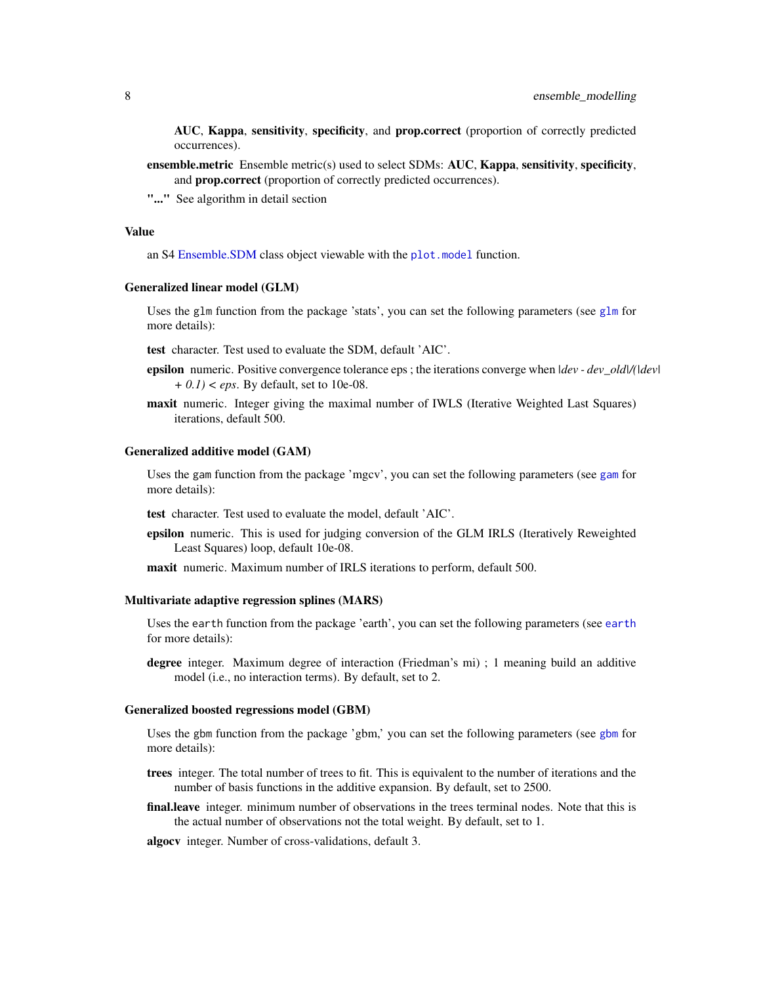<span id="page-7-0"></span>AUC, Kappa, sensitivity, specificity, and prop.correct (proportion of correctly predicted occurrences).

- ensemble.metric Ensemble metric(s) used to select SDMs: AUC, Kappa, sensitivity, specificity, and prop.correct (proportion of correctly predicted occurrences).
- "..." See algorithm in detail section

#### Value

an S4 [Ensemble.SDM](#page-4-1) class object viewable with the [plot.model](#page-22-1) function.

#### Generalized linear model (GLM)

Uses the [glm](#page-0-0) function from the package 'stats', you can set the following parameters (see glm for more details):

test character. Test used to evaluate the SDM, default 'AIC'.

- epsilon numeric. Positive convergence tolerance eps ; the iterations converge when *|dev dev\_old|/(|dev| + 0.1) < eps*. By default, set to 10e-08.
- maxit numeric. Integer giving the maximal number of IWLS (Iterative Weighted Last Squares) iterations, default 500.

#### Generalized additive model (GAM)

Uses the gam function from the package 'mgcv', you can set the following parameters (see [gam](#page-0-0) for more details):

test character. Test used to evaluate the model, default 'AIC'.

epsilon numeric. This is used for judging conversion of the GLM IRLS (Iteratively Reweighted Least Squares) loop, default 10e-08.

maxit numeric. Maximum number of IRLS iterations to perform, default 500.

#### Multivariate adaptive regression splines (MARS)

Uses the earth function from the package 'earth', you can set the following parameters (see [earth](#page-0-0) for more details):

degree integer. Maximum degree of interaction (Friedman's mi) ; 1 meaning build an additive model (i.e., no interaction terms). By default, set to 2.

#### Generalized boosted regressions model (GBM)

Uses the gbm function from the package 'gbm,' you can set the following parameters (see [gbm](#page-0-0) for more details):

- trees integer. The total number of trees to fit. This is equivalent to the number of iterations and the number of basis functions in the additive expansion. By default, set to 2500.
- final.leave integer. minimum number of observations in the trees terminal nodes. Note that this is the actual number of observations not the total weight. By default, set to 1.

algocv integer. Number of cross-validations, default 3.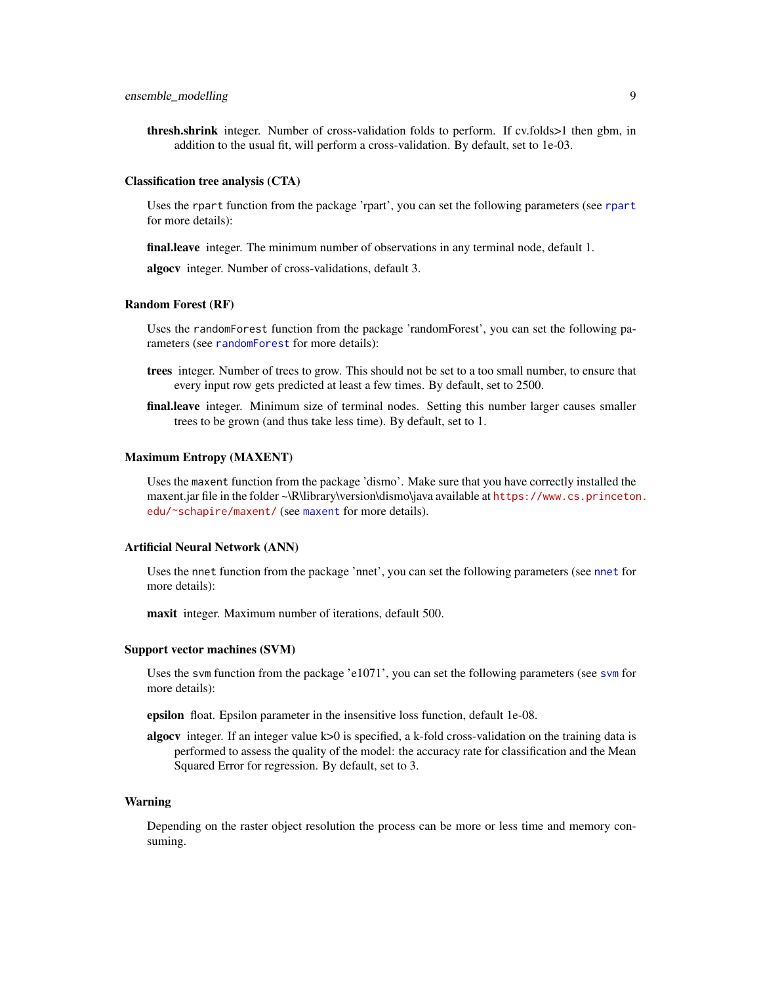<span id="page-8-0"></span>thresh.shrink integer. Number of cross-validation folds to perform. If cv.folds>1 then gbm, in addition to the usual fit, will perform a cross-validation. By default, set to 1e-03.

#### Classification tree analysis (CTA)

Uses the rpart function from the package 'rpart', you can set the following parameters (see [rpart](#page-0-0) for more details):

final.leave integer. The minimum number of observations in any terminal node, default 1.

algocv integer. Number of cross-validations, default 3.

## Random Forest (RF)

Uses the randomForest function from the package 'randomForest', you can set the following parameters (see [randomForest](#page-0-0) for more details):

- trees integer. Number of trees to grow. This should not be set to a too small number, to ensure that every input row gets predicted at least a few times. By default, set to 2500.
- final.leave integer. Minimum size of terminal nodes. Setting this number larger causes smaller trees to be grown (and thus take less time). By default, set to 1.

#### Maximum Entropy (MAXENT)

Uses the maxent function from the package 'dismo'. Make sure that you have correctly installed the maxent.jar file in the folder ~\R\library\version\dismo\java available at [https://www.cs.princeton](https://www.cs.princeton.edu/~schapire/maxent/). [edu/~schapire/maxent/](https://www.cs.princeton.edu/~schapire/maxent/) (see [maxent](#page-0-0) for more details).

## Artificial Neural Network (ANN)

Uses the nnet function from the package 'nnet', you can set the following parameters (see [nnet](#page-0-0) for more details):

maxit integer. Maximum number of iterations, default 500.

#### Support vector machines (SVM)

Uses the svm function from the package 'e1071', you can set the following parameters (see [svm](#page-0-0) for more details):

epsilon float. Epsilon parameter in the insensitive loss function, default 1e-08.

algocv integer. If an integer value k>0 is specified, a k-fold cross-validation on the training data is performed to assess the quality of the model: the accuracy rate for classification and the Mean Squared Error for regression. By default, set to 3.

#### Warning

Depending on the raster object resolution the process can be more or less time and memory consuming.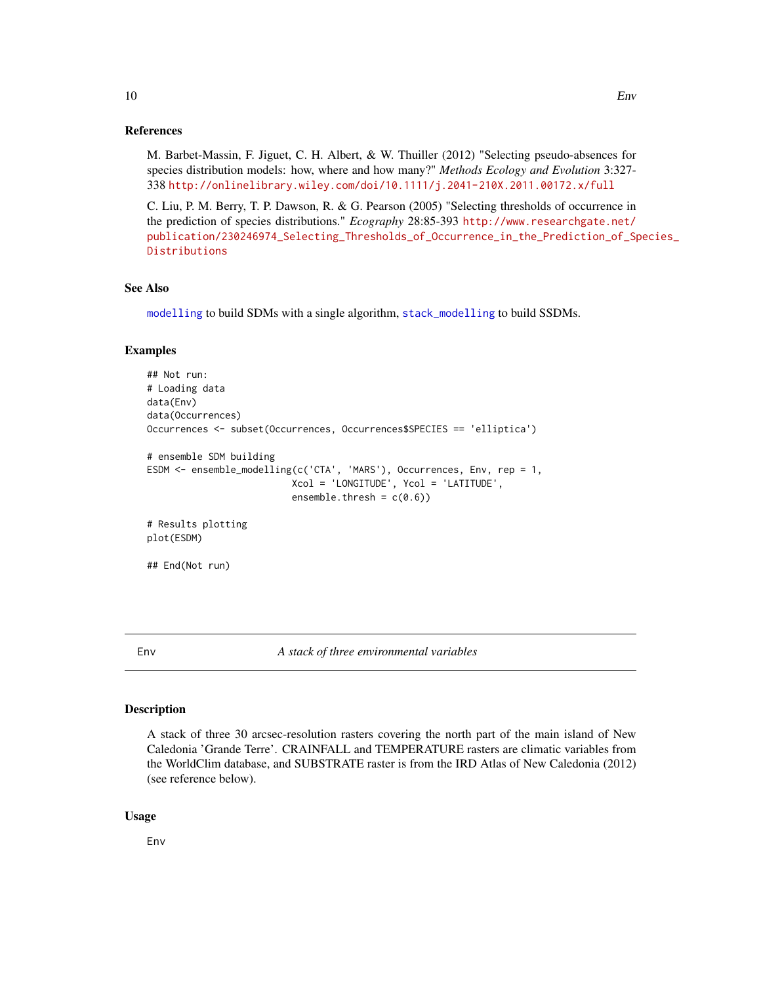#### <span id="page-9-0"></span>References

M. Barbet-Massin, F. Jiguet, C. H. Albert, & W. Thuiller (2012) "Selecting pseudo-absences for species distribution models: how, where and how many?" *Methods Ecology and Evolution* 3:327- 338 <http://onlinelibrary.wiley.com/doi/10.1111/j.2041-210X.2011.00172.x/full>

C. Liu, P. M. Berry, T. P. Dawson, R. & G. Pearson (2005) "Selecting thresholds of occurrence in the prediction of species distributions." *Ecography* 28:85-393 [http://www.researchgate.net/](http://www.researchgate.net/publication/230246974_Selecting_Thresholds_of_Occurrence_in_the_Prediction_of_Species_Distributions) [publication/230246974\\_Selecting\\_Thresholds\\_of\\_Occurrence\\_in\\_the\\_Prediction\\_of\\_Sp](http://www.researchgate.net/publication/230246974_Selecting_Thresholds_of_Occurrence_in_the_Prediction_of_Species_Distributions)ecies\_ [Distributions](http://www.researchgate.net/publication/230246974_Selecting_Thresholds_of_Occurrence_in_the_Prediction_of_Species_Distributions)

#### See Also

[modelling](#page-17-1) to build SDMs with a single algorithm, [stack\\_modelling](#page-29-1) to build SSDMs.

#### Examples

```
## Not run:
# Loading data
data(Env)
data(Occurrences)
Occurrences <- subset(Occurrences, Occurrences$SPECIES == 'elliptica')
# ensemble SDM building
ESDM <- ensemble_modelling(c('CTA', 'MARS'), Occurrences, Env, rep = 1,
                          Xcol = 'LONGITUDE', Ycol = 'LATITUDE',
                          ensemble.thresh = c(0.6))
# Results plotting
plot(ESDM)
## End(Not run)
```
Env *A stack of three environmental variables*

## Description

A stack of three 30 arcsec-resolution rasters covering the north part of the main island of New Caledonia 'Grande Terre'. CRAINFALL and TEMPERATURE rasters are climatic variables from the WorldClim database, and SUBSTRATE raster is from the IRD Atlas of New Caledonia (2012) (see reference below).

#### Usage

Env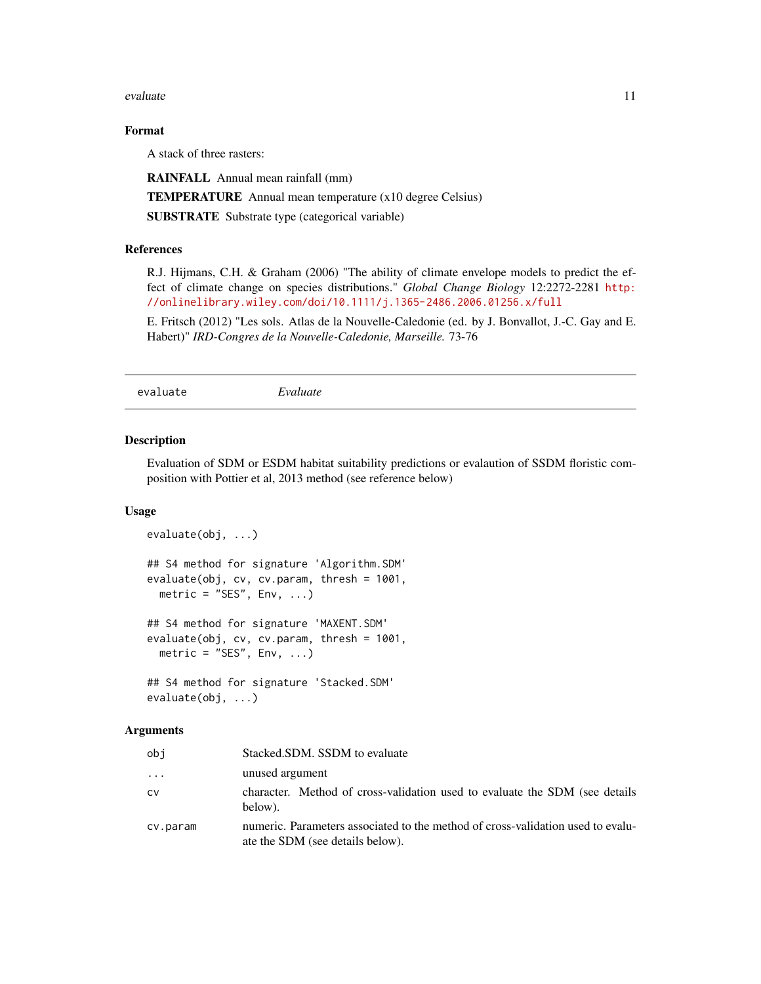#### <span id="page-10-0"></span>evaluate the contract of the contract of the contract of the contract of the contract of the contract of the contract of the contract of the contract of the contract of the contract of the contract of the contract of the c

## Format

A stack of three rasters:

RAINFALL Annual mean rainfall (mm)

TEMPERATURE Annual mean temperature (x10 degree Celsius)

SUBSTRATE Substrate type (categorical variable)

## References

R.J. Hijmans, C.H. & Graham (2006) "The ability of climate envelope models to predict the effect of climate change on species distributions." *Global Change Biology* 12:2272-2281 [http:](http://onlinelibrary.wiley.com/doi/10.1111/j.1365-2486.2006.01256.x/full) [//onlinelibrary.wiley.com/doi/10.1111/j.1365-2486.2006.01256.x/full](http://onlinelibrary.wiley.com/doi/10.1111/j.1365-2486.2006.01256.x/full)

E. Fritsch (2012) "Les sols. Atlas de la Nouvelle-Caledonie (ed. by J. Bonvallot, J.-C. Gay and E. Habert)" *IRD-Congres de la Nouvelle-Caledonie, Marseille.* 73-76

evaluate *Evaluate*

#### Description

Evaluation of SDM or ESDM habitat suitability predictions or evalaution of SSDM floristic composition with Pottier et al, 2013 method (see reference below)

#### Usage

```
evaluate(obj, ...)
## S4 method for signature 'Algorithm.SDM'
evaluate(obj, cv, cv.param, thresh = 1001,
 metric = "SES", Env, ...)## S4 method for signature 'MAXENT.SDM'
evaluate(obj, cv, cv.param, thresh = 1001,
 metric = "SES", Env, ...)
## S4 method for signature 'Stacked.SDM'
```
# evaluate(obj, ...)

| obi      | Stacked.SDM. SSDM to evaluate                                                                                       |
|----------|---------------------------------------------------------------------------------------------------------------------|
| $\ddots$ | unused argument                                                                                                     |
| CV       | character. Method of cross-validation used to evaluate the SDM (see details<br>below).                              |
| cv.param | numeric. Parameters associated to the method of cross-validation used to evalu-<br>ate the SDM (see details below). |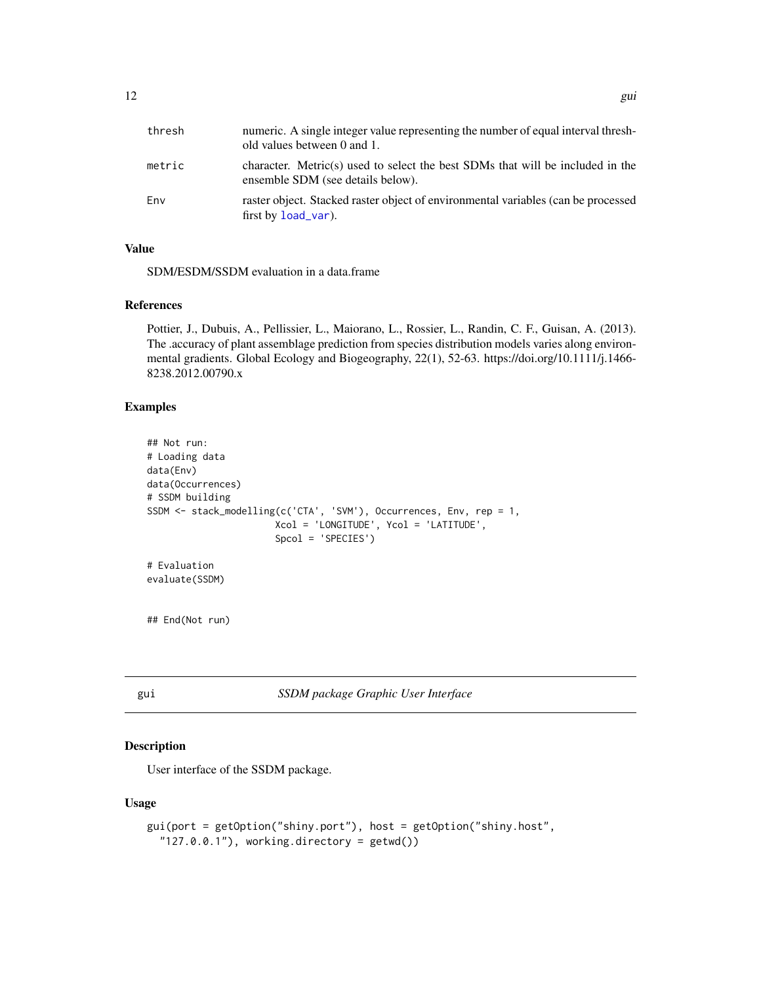<span id="page-11-0"></span>

| thresh | numeric. A single integer value representing the number of equal interval thresh-<br>old values between 0 and 1.    |
|--------|---------------------------------------------------------------------------------------------------------------------|
| metric | character. Metric(s) used to select the best SDMs that will be included in the<br>ensemble SDM (see details below). |
| Env    | raster object. Stacked raster object of environmental variables (can be processed<br>first by $load\_var$ ).        |

## Value

SDM/ESDM/SSDM evaluation in a data.frame

#### References

Pottier, J., Dubuis, A., Pellissier, L., Maiorano, L., Rossier, L., Randin, C. F., Guisan, A. (2013). The .accuracy of plant assemblage prediction from species distribution models varies along environmental gradients. Global Ecology and Biogeography, 22(1), 52-63. https://doi.org/10.1111/j.1466- 8238.2012.00790.x

#### Examples

```
## Not run:
# Loading data
data(Env)
data(Occurrences)
# SSDM building
SSDM <- stack_modelling(c('CTA', 'SVM'), Occurrences, Env, rep = 1,
                       Xcol = 'LONGITUDE', Ycol = 'LATITUDE',
                       Spcol = 'SPECIES')
# Evaluation
evaluate(SSDM)
## End(Not run)
```
<span id="page-11-1"></span>

| gu1 | SSDM package Graphic User Interface |  |  |
|-----|-------------------------------------|--|--|
|     |                                     |  |  |

## Description

User interface of the SSDM package.

#### Usage

```
gui(port = getOption("shiny.port"), host = getOption("shiny.host",
  "127.0.0.1"), working.directory = getwd())
```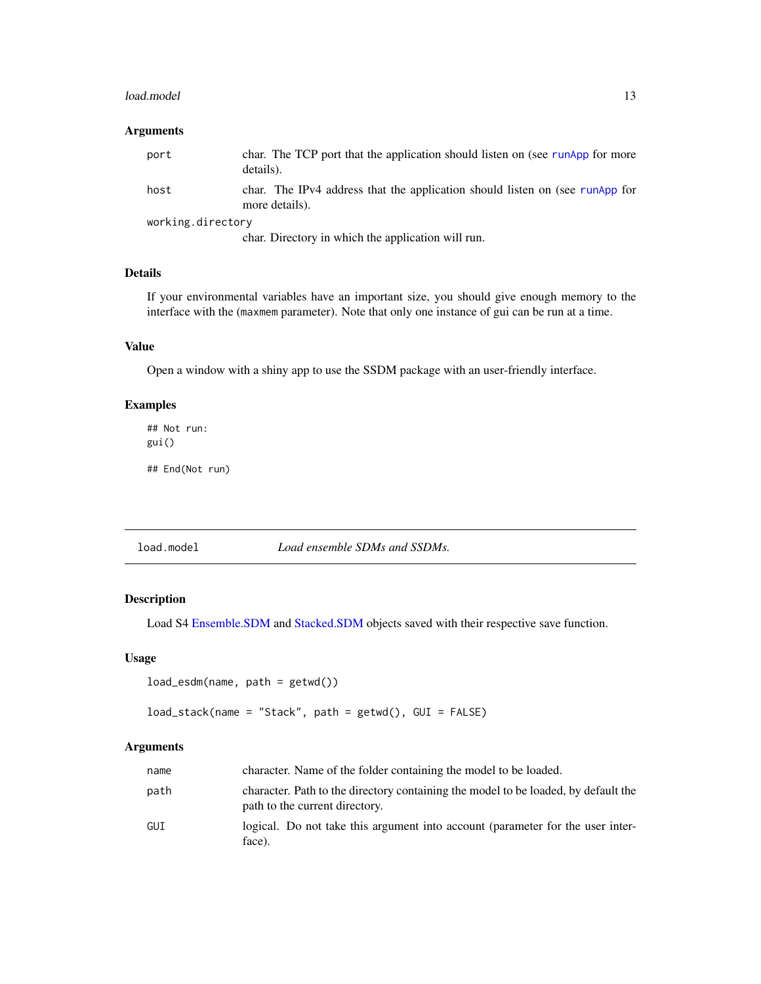#### <span id="page-12-0"></span>load.model 13

## Arguments

| port              | char. The TCP port that the application should listen on (see runApp for more<br>details).     |
|-------------------|------------------------------------------------------------------------------------------------|
| host              | char. The IPv4 address that the application should listen on (see runApp for<br>more details). |
| working.directory |                                                                                                |
|                   | char. Directory in which the application will run.                                             |

## Details

If your environmental variables have an important size, you should give enough memory to the interface with the (maxmem parameter). Note that only one instance of gui can be run at a time.

## Value

Open a window with a shiny app to use the SSDM package with an user-friendly interface.

## Examples

## Not run: gui() ## End(Not run)

<span id="page-12-1"></span>load.model *Load ensemble SDMs and SSDMs.*

## Description

Load S4 [Ensemble.SDM](#page-4-1) and [Stacked.SDM](#page-26-1) objects saved with their respective save function.

#### Usage

```
load_esdm(name, path = getwd())
```
load\_stack(name = "Stack", path = getwd(), GUI = FALSE)

| name | character. Name of the folder containing the model to be loaded.                                                     |
|------|----------------------------------------------------------------------------------------------------------------------|
| path | character. Path to the directory containing the model to be loaded, by default the<br>path to the current directory. |
| GUI  | logical. Do not take this argument into account (parameter for the user inter-<br>face).                             |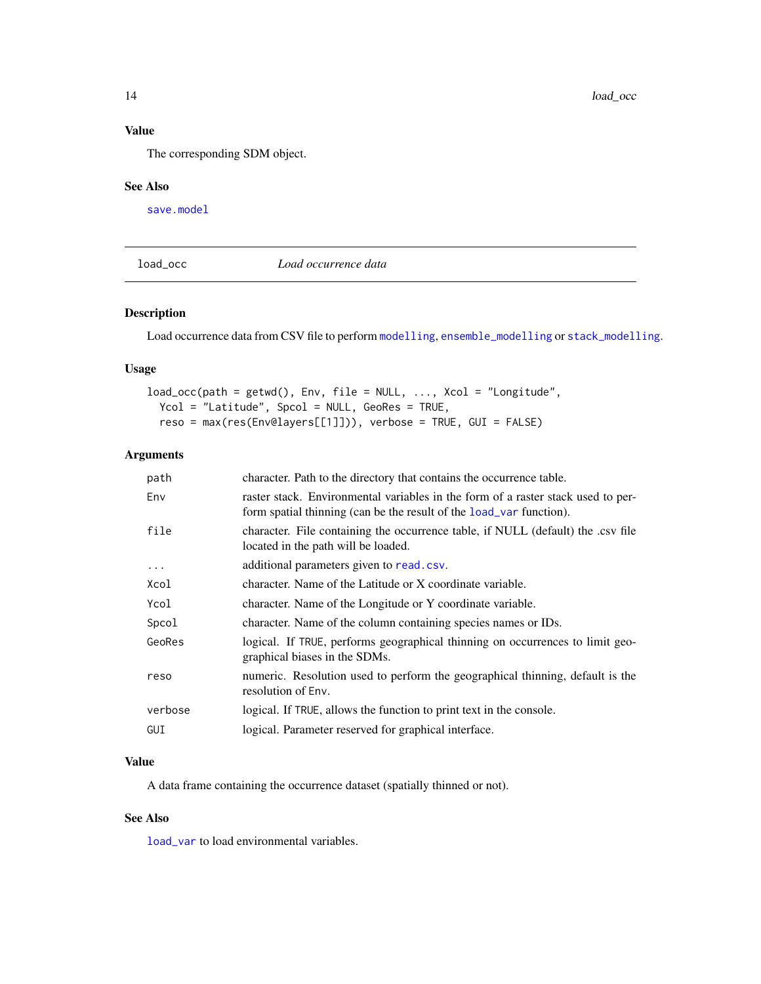## <span id="page-13-0"></span>Value

The corresponding SDM object.

## See Also

[save.model](#page-24-1)

<span id="page-13-1"></span>load\_occ *Load occurrence data*

## Description

Load occurrence data from CSV file to perform [modelling](#page-17-1), [ensemble\\_modelling](#page-4-2) or [stack\\_modelling](#page-29-1).

## Usage

```
load\_occ(path = getwd(), Env, file = NULL, ..., Xcol = "Longitude",Ycol = "Latitude", Spcol = NULL, GeoRes = TRUE,
 reso = max(res(Env@layers[[1]])), verbose = TRUE, GUI = FALSE)
```
## Arguments

| character. Path to the directory that contains the occurrence table.                                                                                    |
|---------------------------------------------------------------------------------------------------------------------------------------------------------|
| raster stack. Environmental variables in the form of a raster stack used to per-<br>form spatial thinning (can be the result of the load_var function). |
| character. File containing the occurrence table, if NULL (default) the .csv file<br>located in the path will be loaded.                                 |
| additional parameters given to read.csv.                                                                                                                |
| character. Name of the Latitude or X coordinate variable.                                                                                               |
| character. Name of the Longitude or Y coordinate variable.                                                                                              |
| character. Name of the column containing species names or IDs.                                                                                          |
| logical. If TRUE, performs geographical thinning on occurrences to limit geo-<br>graphical biases in the SDMs.                                          |
| numeric. Resolution used to perform the geographical thinning, default is the<br>resolution of Env.                                                     |
| logical. If TRUE, allows the function to print text in the console.                                                                                     |
| logical. Parameter reserved for graphical interface.                                                                                                    |
|                                                                                                                                                         |

## Value

A data frame containing the occurrence dataset (spatially thinned or not).

## See Also

[load\\_var](#page-14-1) to load environmental variables.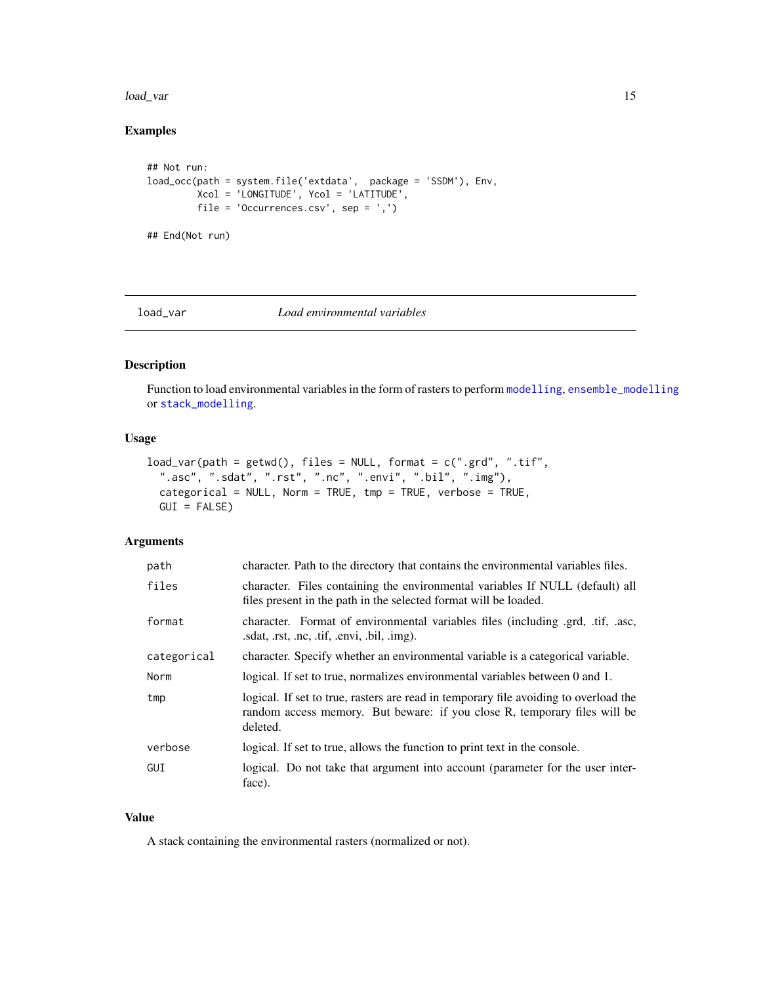#### <span id="page-14-0"></span>load\_var 15

## Examples

```
## Not run:
load_occ(path = system.file('extdata', package = 'SSDM'), Env,
        Xcol = 'LONGITUDE', Ycol = 'LATITUDE',
        file = 'Occurrences.csv', sep = ',')
```
## End(Not run)

<span id="page-14-1"></span>

#### load\_var *Load environmental variables*

## Description

Function to load environmental variables in the form of rasters to perform [modelling](#page-17-1), [ensemble\\_modelling](#page-4-2) or [stack\\_modelling](#page-29-1).

#### Usage

```
load\_var(path = getwd(), files = NULL, format = c(".grd", ".diff",".asc", ".sdat", ".rst", ".nc", ".envi", ".bil", ".img"),
  categorical = NULL, Norm = TRUE, tmp = TRUE, verbose = TRUE,
 GUI = FALSE)
```
## Arguments

| path        | character. Path to the directory that contains the environmental variables files.                                                                                             |
|-------------|-------------------------------------------------------------------------------------------------------------------------------------------------------------------------------|
| files       | character. Files containing the environmental variables If NULL (default) all<br>files present in the path in the selected format will be loaded.                             |
| format      | character. Format of environmental variables files (including .grd, .tif, .asc,<br>sdat, rst, nc, tif, envi, bil, img.                                                        |
| categorical | character. Specify whether an environmental variable is a categorical variable.                                                                                               |
| Norm        | logical. If set to true, normalizes environmental variables between 0 and 1.                                                                                                  |
| tmp         | logical. If set to true, rasters are read in temporary file avoiding to overload the<br>random access memory. But beware: if you close R, temporary files will be<br>deleted. |
| verbose     | logical. If set to true, allows the function to print text in the console.                                                                                                    |
| GUI         | logical. Do not take that argument into account (parameter for the user inter-<br>face).                                                                                      |

## Value

A stack containing the environmental rasters (normalized or not).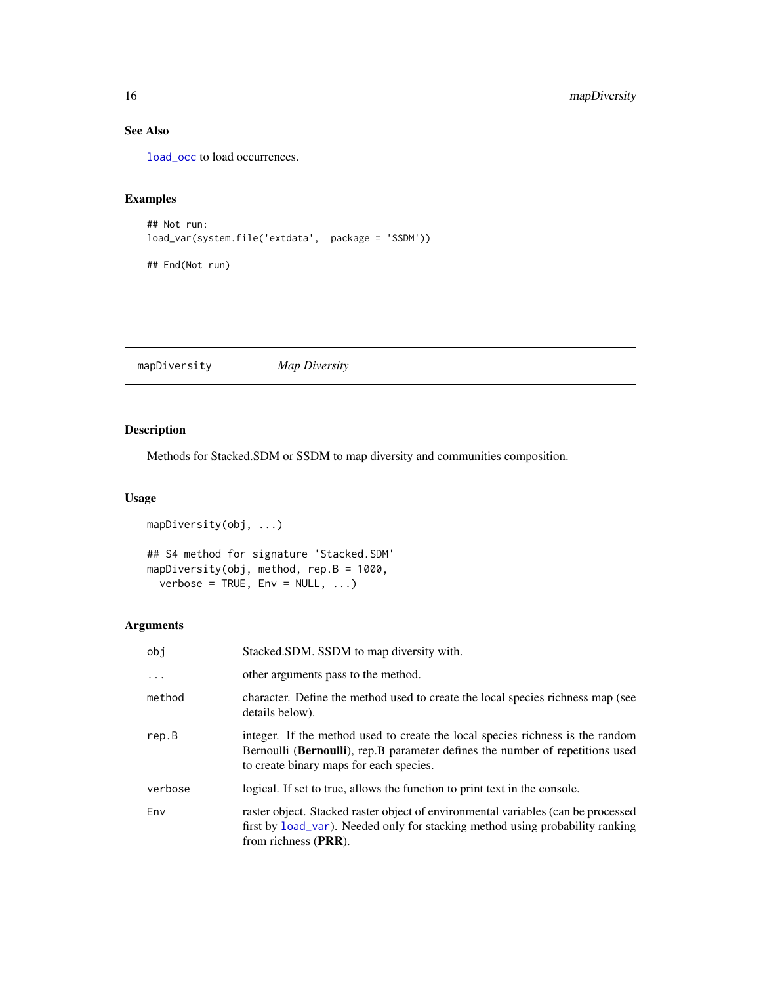## See Also

[load\\_occ](#page-13-1) to load occurrences.

## Examples

```
## Not run:
load_var(system.file('extdata', package = 'SSDM'))
## End(Not run)
```
mapDiversity *Map Diversity*

## Description

Methods for Stacked.SDM or SSDM to map diversity and communities composition.

## Usage

```
mapDiversity(obj, ...)
## S4 method for signature 'Stacked.SDM'
mapDiversity(obj, method, rep.B = 1000,
 verbose = TRUE, Env = NULL, ...
```

| obj     | Stacked.SDM. SSDM to map diversity with.                                                                                                                                                                    |
|---------|-------------------------------------------------------------------------------------------------------------------------------------------------------------------------------------------------------------|
| $\cdot$ | other arguments pass to the method.                                                                                                                                                                         |
| method  | character. Define the method used to create the local species richness map (see<br>details below).                                                                                                          |
| rep.B   | integer. If the method used to create the local species richness is the random<br>Bernoulli (Bernoulli), rep. B parameter defines the number of repetitions used<br>to create binary maps for each species. |
| verbose | logical. If set to true, allows the function to print text in the console.                                                                                                                                  |
| Env     | raster object. Stacked raster object of environmental variables (can be processed<br>first by load_var). Needed only for stacking method using probability ranking<br>from richness (PRR).                  |

<span id="page-15-0"></span>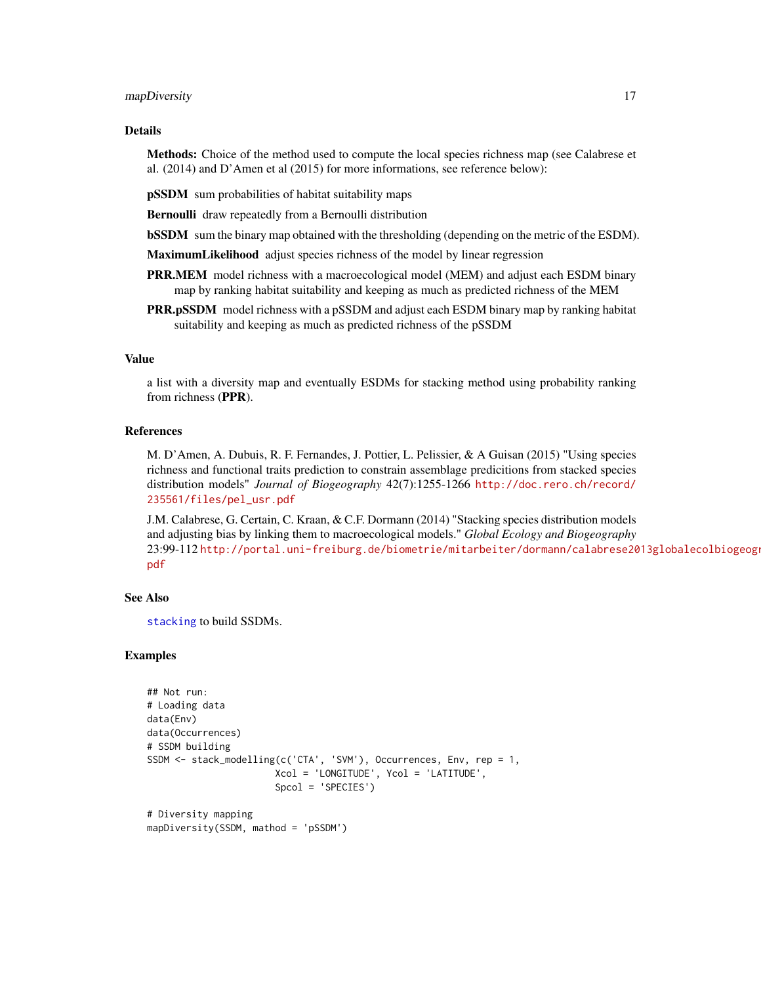#### <span id="page-16-0"></span>mapDiversity 17

## Details

Methods: Choice of the method used to compute the local species richness map (see Calabrese et al. (2014) and D'Amen et al (2015) for more informations, see reference below):

pSSDM sum probabilities of habitat suitability maps

Bernoulli draw repeatedly from a Bernoulli distribution

**bSSDM** sum the binary map obtained with the thresholding (depending on the metric of the ESDM).

MaximumLikelihood adjust species richness of the model by linear regression

- **PRR.MEM** model richness with a macroecological model (MEM) and adjust each ESDM binary map by ranking habitat suitability and keeping as much as predicted richness of the MEM
- **PRR.pSSDM** model richness with a pSSDM and adjust each ESDM binary map by ranking habitat suitability and keeping as much as predicted richness of the pSSDM

#### Value

a list with a diversity map and eventually ESDMs for stacking method using probability ranking from richness (PPR).

## References

M. D'Amen, A. Dubuis, R. F. Fernandes, J. Pottier, L. Pelissier, & A Guisan (2015) "Using species richness and functional traits prediction to constrain assemblage predicitions from stacked species distribution models" *Journal of Biogeography* 42(7):1255-1266 [http://doc.rero.ch/record/](http://doc.rero.ch/record/235561/files/pel_usr.pdf) [235561/files/pel\\_usr.pdf](http://doc.rero.ch/record/235561/files/pel_usr.pdf)

J.M. Calabrese, G. Certain, C. Kraan, & C.F. Dormann (2014) "Stacking species distribution models and adjusting bias by linking them to macroecological models." *Global Ecology and Biogeography* 23:99-112 [http://portal.uni-freiburg.de/biometrie/mitarbeiter/dormann/calabrese20](http://portal.uni-freiburg.de/biometrie/mitarbeiter/dormann/calabrese2013globalecolbiogeogr.pdf)13globalecolbiogeogr. [pdf](http://portal.uni-freiburg.de/biometrie/mitarbeiter/dormann/calabrese2013globalecolbiogeogr.pdf)

## See Also

[stacking](#page-27-1) to build SSDMs.

## Examples

```
## Not run:
# Loading data
data(Env)
data(Occurrences)
# SSDM building
SSDM <- stack_modelling(c('CTA', 'SVM'), Occurrences, Env, rep = 1,
                       Xcol = 'LONGITUDE', Ycol = 'LATITUDE',
                       Spcol = 'SPECIES')
# Diversity mapping
```

```
mapDiversity(SSDM, mathod = 'pSSDM')
```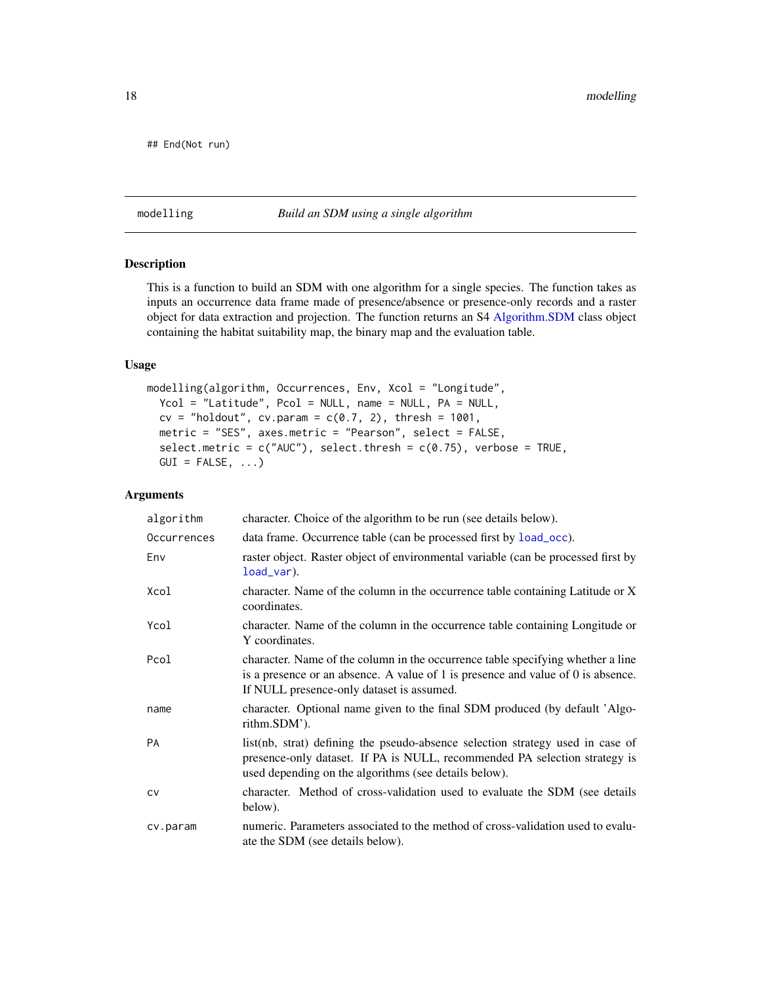```
## End(Not run)
```
#### <span id="page-17-1"></span>modelling *Build an SDM using a single algorithm*

## Description

This is a function to build an SDM with one algorithm for a single species. The function takes as inputs an occurrence data frame made of presence/absence or presence-only records and a raster object for data extraction and projection. The function returns an S4 [Algorithm.SDM](#page-1-1) class object containing the habitat suitability map, the binary map and the evaluation table.

#### Usage

```
modelling(algorithm, Occurrences, Env, Xcol = "Longitude",
 Ycol = "Latitude", Pcol = NULL, name = NULL, PA = NULL,
  cv = "holdout", cv.param = c(0.7, 2), thresh = 1001,metric = "SES", axes.metric = "Pearson", select = FALSE,
  select.metric = c("AUC"), select.thresh = c(0.75), verbose = TRUE,
 GUI = FALSE, ...)
```

| algorithm   | character. Choice of the algorithm to be run (see details below).                                                                                                                                                     |
|-------------|-----------------------------------------------------------------------------------------------------------------------------------------------------------------------------------------------------------------------|
| Occurrences | data frame. Occurrence table (can be processed first by load_occ).                                                                                                                                                    |
| Env         | raster object. Raster object of environmental variable (can be processed first by<br>$load\_var$ ).                                                                                                                   |
| Xcol        | character. Name of the column in the occurrence table containing Latitude or X<br>coordinates.                                                                                                                        |
| Ycol        | character. Name of the column in the occurrence table containing Longitude or<br>Y coordinates.                                                                                                                       |
| Pcol        | character. Name of the column in the occurrence table specifying whether a line<br>is a presence or an absence. A value of 1 is presence and value of 0 is absence.<br>If NULL presence-only dataset is assumed.      |
| name        | character. Optional name given to the final SDM produced (by default 'Algo-<br>rithm.SDM').                                                                                                                           |
| <b>PA</b>   | list(nb, strat) defining the pseudo-absence selection strategy used in case of<br>presence-only dataset. If PA is NULL, recommended PA selection strategy is<br>used depending on the algorithms (see details below). |
| <b>CV</b>   | character. Method of cross-validation used to evaluate the SDM (see details<br>below).                                                                                                                                |
| cv.param    | numeric. Parameters associated to the method of cross-validation used to evalu-<br>ate the SDM (see details below).                                                                                                   |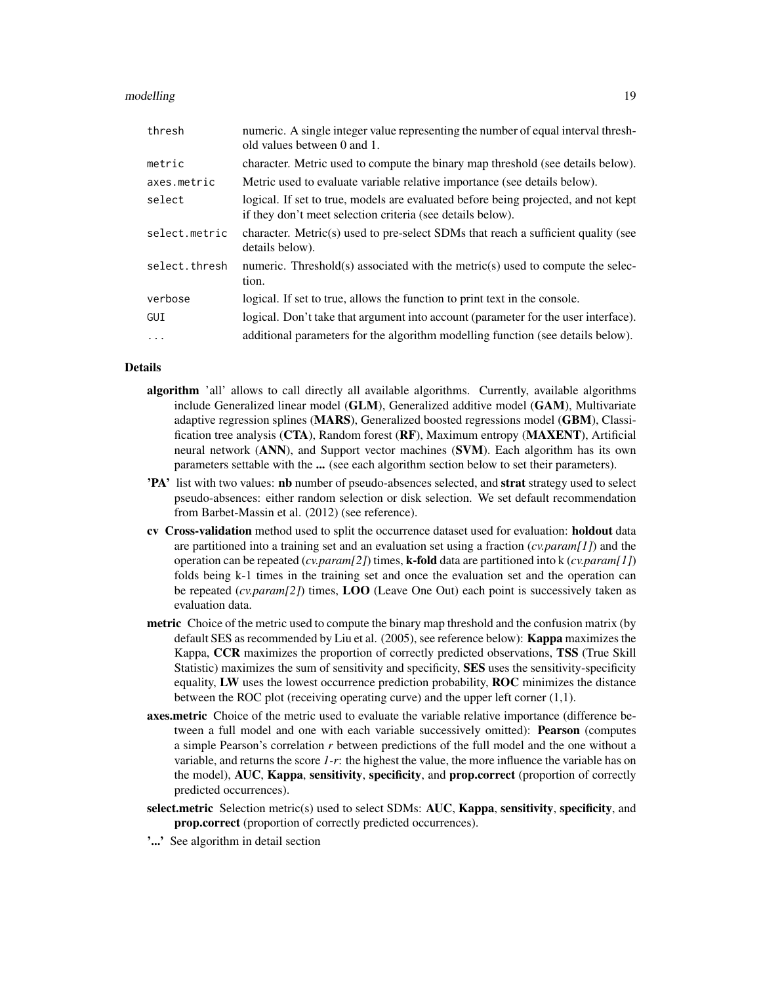#### modelling the state of the state of the state of the state of the state of the state of the state of the state of the state of the state of the state of the state of the state of the state of the state of the state of the

| thresh        | numeric. A single integer value representing the number of equal interval thresh-<br>old values between 0 and 1.                                 |
|---------------|--------------------------------------------------------------------------------------------------------------------------------------------------|
| metric        | character. Metric used to compute the binary map threshold (see details below).                                                                  |
| axes.metric   | Metric used to evaluate variable relative importance (see details below).                                                                        |
| select        | logical. If set to true, models are evaluated before being projected, and not kept<br>if they don't meet selection criteria (see details below). |
| select.metric | character. Metric(s) used to pre-select SDMs that reach a sufficient quality (see<br>details below).                                             |
| select.thresh | numeric. Threshold(s) associated with the metric(s) used to compute the selec-<br>tion.                                                          |
| verbose       | logical. If set to true, allows the function to print text in the console.                                                                       |
| GUI           | logical. Don't take that argument into account (parameter for the user interface).                                                               |
| $\cdots$      | additional parameters for the algorithm modelling function (see details below).                                                                  |

## Details

- algorithm 'all' allows to call directly all available algorithms. Currently, available algorithms include Generalized linear model (GLM), Generalized additive model (GAM), Multivariate adaptive regression splines (MARS), Generalized boosted regressions model (GBM), Classification tree analysis (CTA), Random forest (RF), Maximum entropy (MAXENT), Artificial neural network (ANN), and Support vector machines (SVM). Each algorithm has its own parameters settable with the ... (see each algorithm section below to set their parameters).
- 'PA' list with two values: nb number of pseudo-absences selected, and strat strategy used to select pseudo-absences: either random selection or disk selection. We set default recommendation from Barbet-Massin et al. (2012) (see reference).
- cv Cross-validation method used to split the occurrence dataset used for evaluation: holdout data are partitioned into a training set and an evaluation set using a fraction (*cv.param[1]*) and the operation can be repeated (*cv.param[2]*) times, k-fold data are partitioned into k (*cv.param[1]*) folds being k-1 times in the training set and once the evaluation set and the operation can be repeated (*cv.param[2]*) times, LOO (Leave One Out) each point is successively taken as evaluation data.
- **metric** Choice of the metric used to compute the binary map threshold and the confusion matrix (by default SES as recommended by Liu et al. (2005), see reference below): Kappa maximizes the Kappa, CCR maximizes the proportion of correctly predicted observations, TSS (True Skill Statistic) maximizes the sum of sensitivity and specificity, SES uses the sensitivity-specificity equality, LW uses the lowest occurrence prediction probability, ROC minimizes the distance between the ROC plot (receiving operating curve) and the upper left corner (1,1).
- **axes.metric** Choice of the metric used to evaluate the variable relative importance (difference between a full model and one with each variable successively omitted): Pearson (computes a simple Pearson's correlation *r* between predictions of the full model and the one without a variable, and returns the score *1-r*: the highest the value, the more influence the variable has on the model), AUC, Kappa, sensitivity, specificity, and prop.correct (proportion of correctly predicted occurrences).
- select.metric Selection metric(s) used to select SDMs: AUC, Kappa, sensitivity, specificity, and prop.correct (proportion of correctly predicted occurrences).
- '...' See algorithm in detail section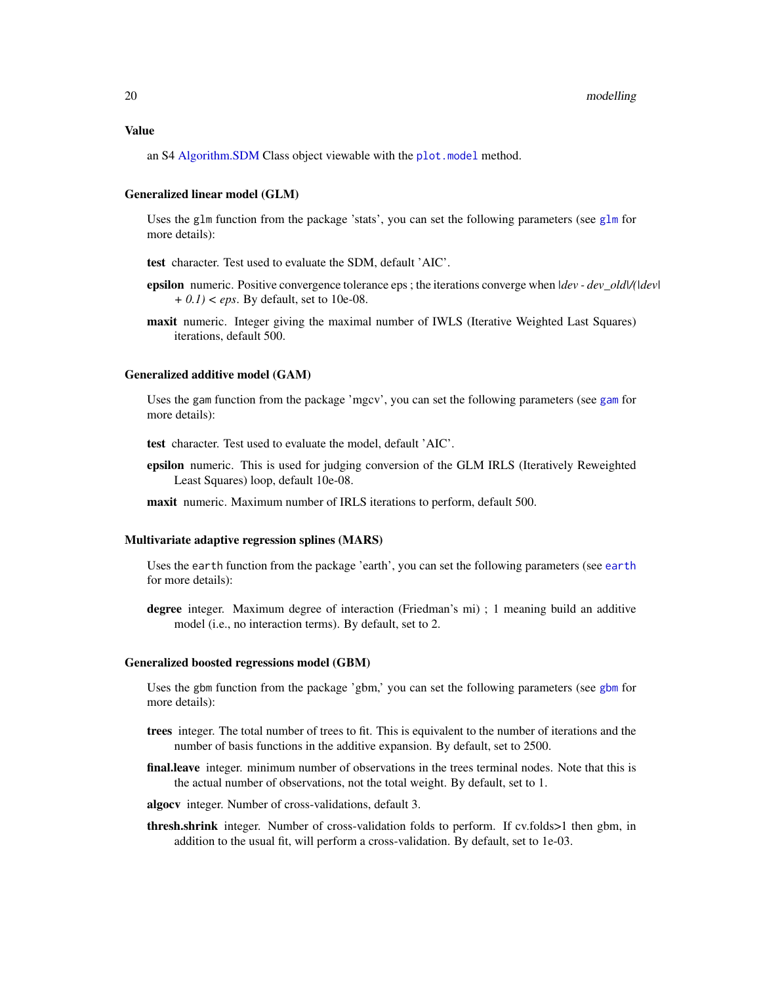<span id="page-19-0"></span>an S4 [Algorithm.SDM](#page-1-1) Class object viewable with the [plot.model](#page-22-1) method.

#### Generalized linear model (GLM)

Uses the glm function from the package 'stats', you can set the following parameters (see [glm](#page-0-0) for more details):

test character. Test used to evaluate the SDM, default 'AIC'.

- epsilon numeric. Positive convergence tolerance eps ; the iterations converge when *|dev dev\_old|/(|dev| + 0.1) < eps*. By default, set to 10e-08.
- maxit numeric. Integer giving the maximal number of IWLS (Iterative Weighted Last Squares) iterations, default 500.

#### Generalized additive model (GAM)

Uses the gam function from the package 'mgcv', you can set the following parameters (see [gam](#page-0-0) for more details):

test character. Test used to evaluate the model, default 'AIC'.

- epsilon numeric. This is used for judging conversion of the GLM IRLS (Iteratively Reweighted Least Squares) loop, default 10e-08.
- maxit numeric. Maximum number of IRLS iterations to perform, default 500.

#### Multivariate adaptive regression splines (MARS)

Uses the earth function from the package 'earth', you can set the following parameters (see [earth](#page-0-0) for more details):

degree integer. Maximum degree of interaction (Friedman's mi) ; 1 meaning build an additive model (i.e., no interaction terms). By default, set to 2.

#### Generalized boosted regressions model (GBM)

Uses the gbm function from the package 'gbm,' you can set the following parameters (see [gbm](#page-0-0) for more details):

- trees integer. The total number of trees to fit. This is equivalent to the number of iterations and the number of basis functions in the additive expansion. By default, set to 2500.
- final.leave integer. minimum number of observations in the trees terminal nodes. Note that this is the actual number of observations, not the total weight. By default, set to 1.
- algocv integer. Number of cross-validations, default 3.
- thresh.shrink integer. Number of cross-validation folds to perform. If cv.folds>1 then gbm, in addition to the usual fit, will perform a cross-validation. By default, set to 1e-03.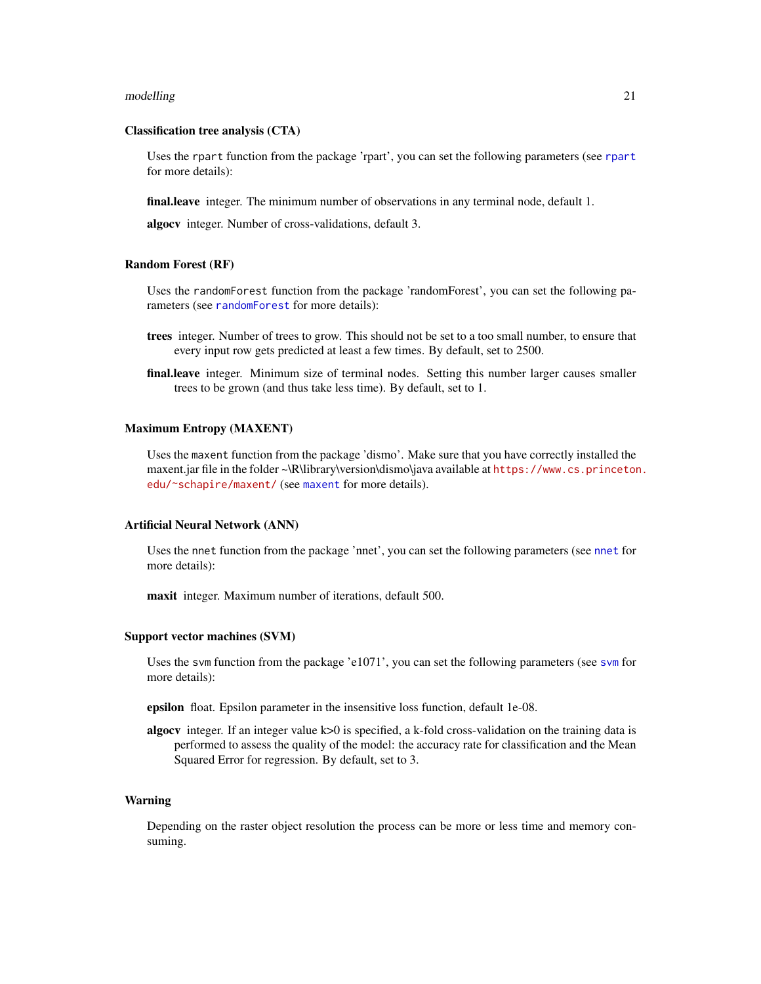#### <span id="page-20-0"></span>modelling 21

#### Classification tree analysis (CTA)

Uses the rpart function from the package 'rpart', you can set the following parameters (see [rpart](#page-0-0) for more details):

**final.leave** integer. The minimum number of observations in any terminal node, default 1.

algocv integer. Number of cross-validations, default 3.

#### Random Forest (RF)

Uses the randomForest function from the package 'randomForest', you can set the following parameters (see [randomForest](#page-0-0) for more details):

- trees integer. Number of trees to grow. This should not be set to a too small number, to ensure that every input row gets predicted at least a few times. By default, set to 2500.
- final.leave integer. Minimum size of terminal nodes. Setting this number larger causes smaller trees to be grown (and thus take less time). By default, set to 1.

#### Maximum Entropy (MAXENT)

Uses the maxent function from the package 'dismo'. Make sure that you have correctly installed the maxent.jar file in the folder ~\R\library\version\dismo\java available at [https://www.cs.princeton](https://www.cs.princeton.edu/~schapire/maxent/). [edu/~schapire/maxent/](https://www.cs.princeton.edu/~schapire/maxent/) (see [maxent](#page-0-0) for more details).

#### Artificial Neural Network (ANN)

Uses the nnet function from the package 'nnet', you can set the following parameters (see [nnet](#page-0-0) for more details):

maxit integer. Maximum number of iterations, default 500.

#### Support vector machines (SVM)

Uses the svm function from the package 'e1071', you can set the following parameters (see [svm](#page-0-0) for more details):

epsilon float. Epsilon parameter in the insensitive loss function, default 1e-08.

algocv integer. If an integer value k>0 is specified, a k-fold cross-validation on the training data is performed to assess the quality of the model: the accuracy rate for classification and the Mean Squared Error for regression. By default, set to 3.

#### Warning

Depending on the raster object resolution the process can be more or less time and memory consuming.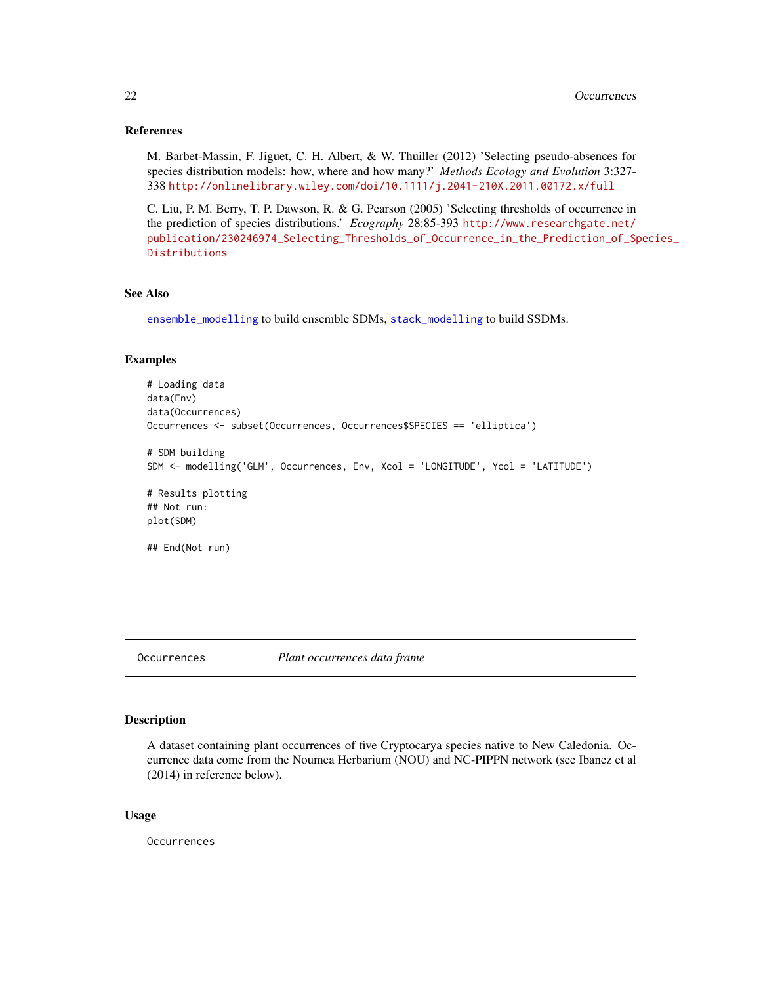## <span id="page-21-0"></span>References

M. Barbet-Massin, F. Jiguet, C. H. Albert, & W. Thuiller (2012) 'Selecting pseudo-absences for species distribution models: how, where and how many?' *Methods Ecology and Evolution* 3:327- 338 <http://onlinelibrary.wiley.com/doi/10.1111/j.2041-210X.2011.00172.x/full>

C. Liu, P. M. Berry, T. P. Dawson, R. & G. Pearson (2005) 'Selecting thresholds of occurrence in the prediction of species distributions.' *Ecography* 28:85-393 [http://www.researchgate.net/](http://www.researchgate.net/publication/230246974_Selecting_Thresholds_of_Occurrence_in_the_Prediction_of_Species_Distributions) [publication/230246974\\_Selecting\\_Thresholds\\_of\\_Occurrence\\_in\\_the\\_Prediction\\_of\\_Sp](http://www.researchgate.net/publication/230246974_Selecting_Thresholds_of_Occurrence_in_the_Prediction_of_Species_Distributions)ecies\_ [Distributions](http://www.researchgate.net/publication/230246974_Selecting_Thresholds_of_Occurrence_in_the_Prediction_of_Species_Distributions)

## See Also

[ensemble\\_modelling](#page-4-2) to build ensemble SDMs, [stack\\_modelling](#page-29-1) to build SSDMs.

#### Examples

```
# Loading data
data(Env)
data(Occurrences)
Occurrences <- subset(Occurrences, Occurrences$SPECIES == 'elliptica')
# SDM building
SDM <- modelling('GLM', Occurrences, Env, Xcol = 'LONGITUDE', Ycol = 'LATITUDE')
# Results plotting
## Not run:
plot(SDM)
## End(Not run)
```

```
Occurrences Plant occurrences data frame
```
#### Description

A dataset containing plant occurrences of five Cryptocarya species native to New Caledonia. Occurrence data come from the Noumea Herbarium (NOU) and NC-PIPPN network (see Ibanez et al (2014) in reference below).

#### Usage

Occurrences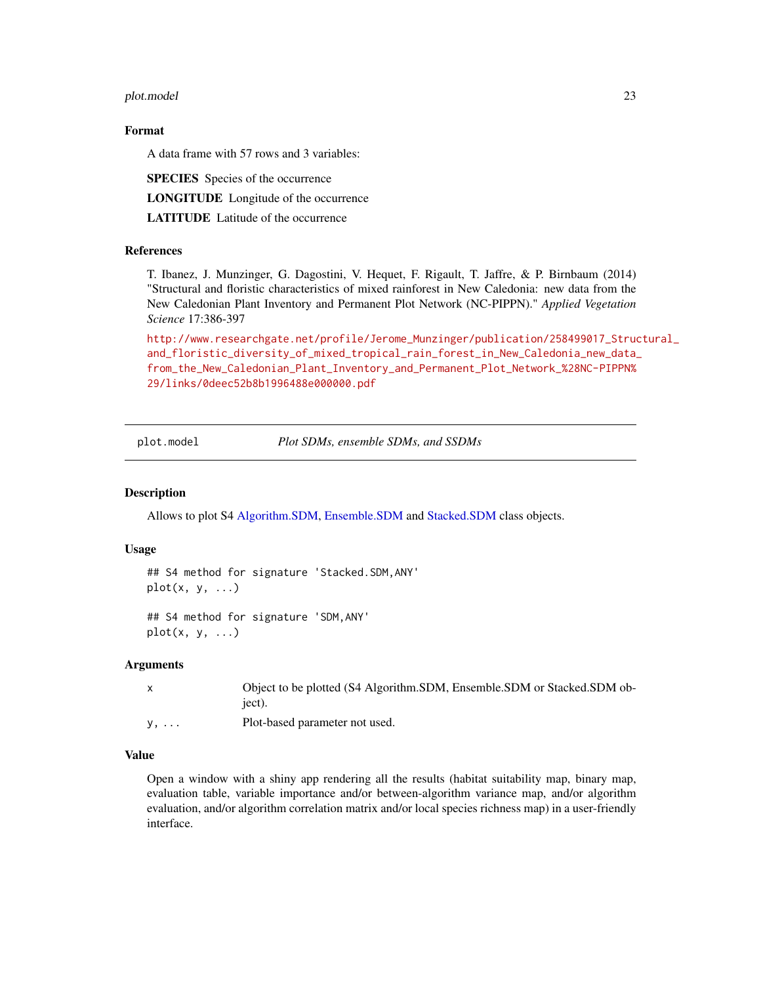#### <span id="page-22-0"></span>plot.model 23

## Format

A data frame with 57 rows and 3 variables:

SPECIES Species of the occurrence

LONGITUDE Longitude of the occurrence

LATITUDE Latitude of the occurrence

#### References

T. Ibanez, J. Munzinger, G. Dagostini, V. Hequet, F. Rigault, T. Jaffre, & P. Birnbaum (2014) "Structural and floristic characteristics of mixed rainforest in New Caledonia: new data from the New Caledonian Plant Inventory and Permanent Plot Network (NC-PIPPN)." *Applied Vegetation Science* 17:386-397

[http://www.researchgate.net/profile/Jerome\\_Munzinger/publication/258499017\\_Struc](http://www.researchgate.net/profile/Jerome_Munzinger/publication/258499017_Structural_and_floristic_diversity_of_mixed_tropical_rain_forest_in_New_Caledonia_new_data_from_the_New_Caledonian_Plant_Inventory_and_Permanent_Plot_Network_%28NC-PIPPN%29/links/0deec52b8b1996488e000000.pdf)tural\_ [and\\_floristic\\_diversity\\_of\\_mixed\\_tropical\\_rain\\_forest\\_in\\_New\\_Caledonia\\_new\\_data\\_](http://www.researchgate.net/profile/Jerome_Munzinger/publication/258499017_Structural_and_floristic_diversity_of_mixed_tropical_rain_forest_in_New_Caledonia_new_data_from_the_New_Caledonian_Plant_Inventory_and_Permanent_Plot_Network_%28NC-PIPPN%29/links/0deec52b8b1996488e000000.pdf) [from\\_the\\_New\\_Caledonian\\_Plant\\_Inventory\\_and\\_Permanent\\_Plot\\_Network\\_%28NC-PIPPN%](http://www.researchgate.net/profile/Jerome_Munzinger/publication/258499017_Structural_and_floristic_diversity_of_mixed_tropical_rain_forest_in_New_Caledonia_new_data_from_the_New_Caledonian_Plant_Inventory_and_Permanent_Plot_Network_%28NC-PIPPN%29/links/0deec52b8b1996488e000000.pdf) [29/links/0deec52b8b1996488e000000.pdf](http://www.researchgate.net/profile/Jerome_Munzinger/publication/258499017_Structural_and_floristic_diversity_of_mixed_tropical_rain_forest_in_New_Caledonia_new_data_from_the_New_Caledonian_Plant_Inventory_and_Permanent_Plot_Network_%28NC-PIPPN%29/links/0deec52b8b1996488e000000.pdf)

<span id="page-22-1"></span>plot.model *Plot SDMs, ensemble SDMs, and SSDMs*

## **Description**

Allows to plot S4 [Algorithm.SDM,](#page-1-1) [Ensemble.SDM](#page-4-1) and [Stacked.SDM](#page-26-1) class objects.

#### Usage

```
## S4 method for signature 'Stacked.SDM,ANY'
plot(x, y, \ldots)
```

```
## S4 method for signature 'SDM,ANY'
plot(x, y, ...)
```
#### Arguments

|             | Object to be plotted (S4 Algorithm.SDM, Ensemble.SDM or Stacked.SDM ob- |
|-------------|-------------------------------------------------------------------------|
|             | iect).                                                                  |
| $y, \ldots$ | Plot-based parameter not used.                                          |

#### Value

Open a window with a shiny app rendering all the results (habitat suitability map, binary map, evaluation table, variable importance and/or between-algorithm variance map, and/or algorithm evaluation, and/or algorithm correlation matrix and/or local species richness map) in a user-friendly interface.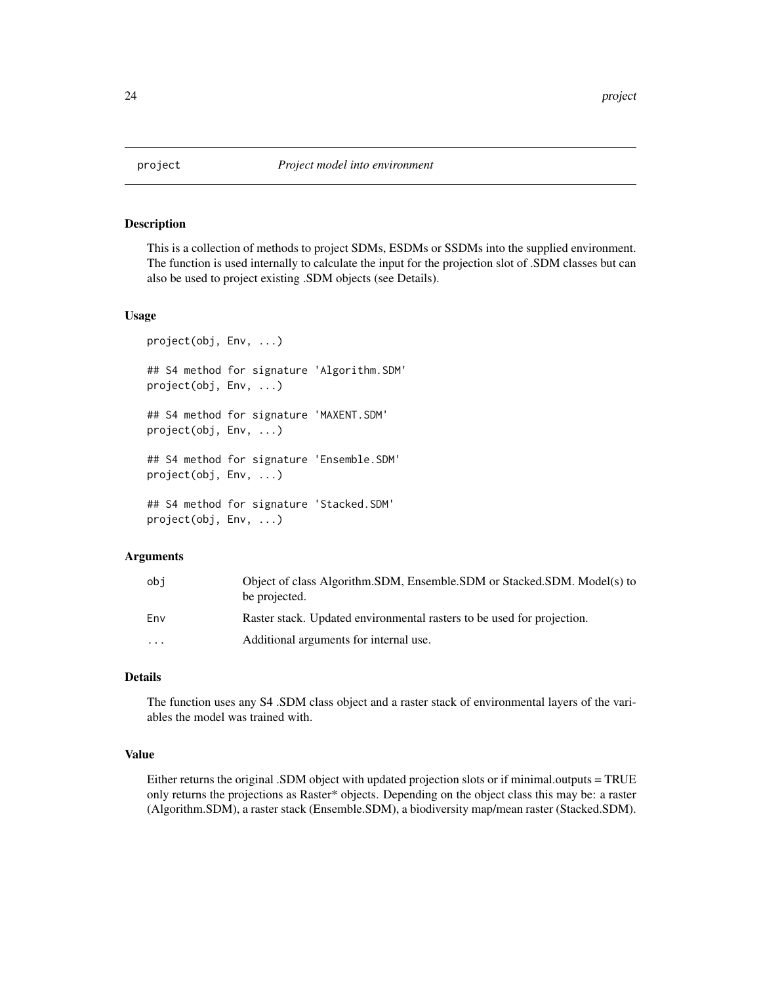<span id="page-23-0"></span>

This is a collection of methods to project SDMs, ESDMs or SSDMs into the supplied environment. The function is used internally to calculate the input for the projection slot of .SDM classes but can also be used to project existing .SDM objects (see Details).

#### Usage

```
project(obj, Env, ...)
## S4 method for signature 'Algorithm.SDM'
project(obj, Env, ...)
## S4 method for signature 'MAXENT.SDM'
project(obj, Env, ...)
## S4 method for signature 'Ensemble.SDM'
project(obj, Env, ...)
## S4 method for signature 'Stacked.SDM'
project(obj, Env, ...)
```
#### Arguments

| obi      | Object of class Algorithm.SDM, Ensemble.SDM or Stacked.SDM. Model(s) to<br>be projected. |
|----------|------------------------------------------------------------------------------------------|
| Env      | Raster stack. Updated environmental rasters to be used for projection.                   |
| $\cdots$ | Additional arguments for internal use.                                                   |

## Details

The function uses any S4 .SDM class object and a raster stack of environmental layers of the variables the model was trained with.

#### Value

Either returns the original .SDM object with updated projection slots or if minimal.outputs = TRUE only returns the projections as Raster\* objects. Depending on the object class this may be: a raster (Algorithm.SDM), a raster stack (Ensemble.SDM), a biodiversity map/mean raster (Stacked.SDM).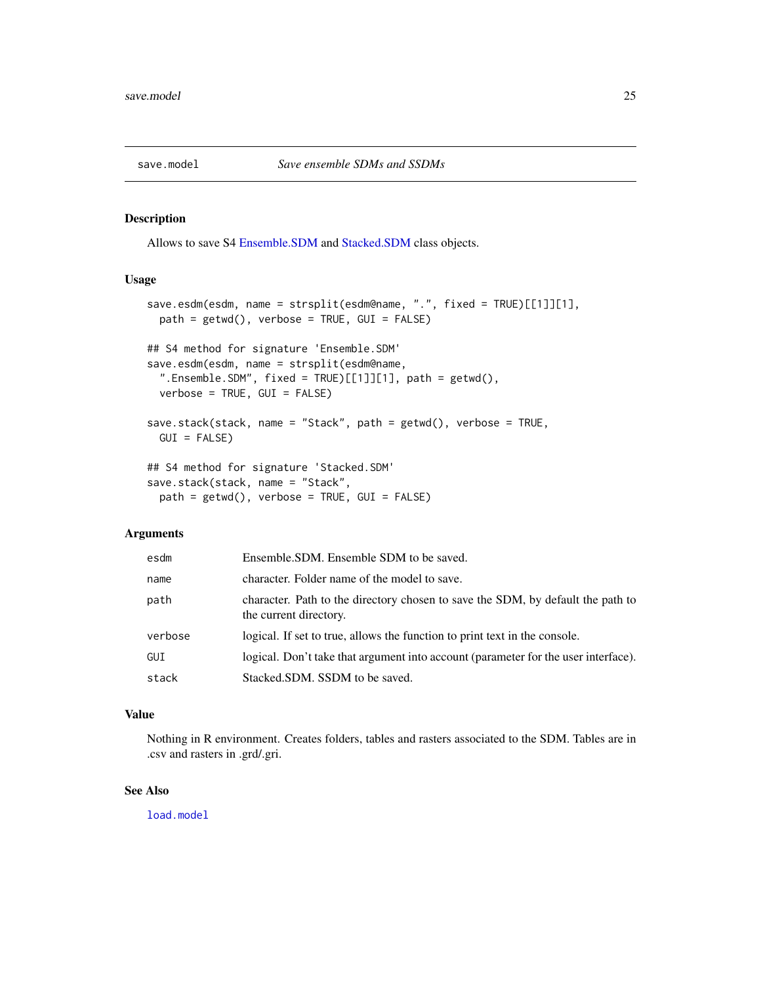<span id="page-24-1"></span><span id="page-24-0"></span>

Allows to save S4 [Ensemble.SDM](#page-4-1) and [Stacked.SDM](#page-26-1) class objects.

## Usage

```
save.esdm(esdm, name = strsplit(esdm@name, ".", fixed = TRUE)[[1]][1],
 path = getwd(), verbose = TRUE, GUI = FALSE)
## S4 method for signature 'Ensemble.SDM'
save.esdm(esdm, name = strsplit(esdm@name,
  ".Ensemble.SDM", fixed = TRUE)[[1]][1], path = getwd(),
 verbose = TRUE, GUI = FALSE)
save.stack(stack, name = "Stack", path = getwd(), verbose = TRUE,
 GUI = FALSE)
## S4 method for signature 'Stacked.SDM'
save.stack(stack, name = "Stack",
 path = getwd(), verbose = TRUE, GUI = FALSE)
```
## Arguments

| esdm    | Ensemble.SDM. Ensemble SDM to be saved.                                                                   |
|---------|-----------------------------------------------------------------------------------------------------------|
| name    | character. Folder name of the model to save.                                                              |
| path    | character. Path to the directory chosen to save the SDM, by default the path to<br>the current directory. |
| verbose | logical. If set to true, allows the function to print text in the console.                                |
| GUI     | logical. Don't take that argument into account (parameter for the user interface).                        |
| stack   | Stacked.SDM. SSDM to be saved.                                                                            |

#### Value

Nothing in R environment. Creates folders, tables and rasters associated to the SDM. Tables are in .csv and rasters in .grd/.gri.

#### See Also

[load.model](#page-12-1)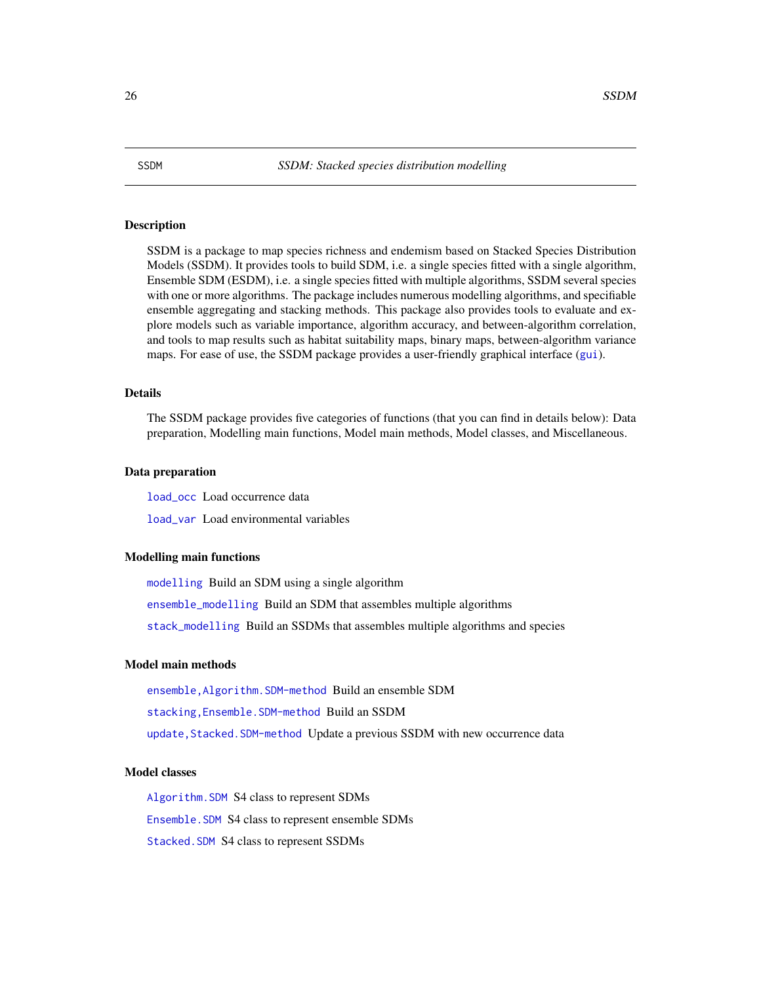<span id="page-25-0"></span>SSDM is a package to map species richness and endemism based on Stacked Species Distribution Models (SSDM). It provides tools to build SDM, i.e. a single species fitted with a single algorithm, Ensemble SDM (ESDM), i.e. a single species fitted with multiple algorithms, SSDM several species with one or more algorithms. The package includes numerous modelling algorithms, and specifiable ensemble aggregating and stacking methods. This package also provides tools to evaluate and explore models such as variable importance, algorithm accuracy, and between-algorithm correlation, and tools to map results such as habitat suitability maps, binary maps, between-algorithm variance maps. For ease of use, the SSDM package provides a user-friendly graphical interface ([gui](#page-11-1)).

#### Details

The SSDM package provides five categories of functions (that you can find in details below): Data preparation, Modelling main functions, Model main methods, Model classes, and Miscellaneous.

#### Data preparation

[load\\_occ](#page-13-1) Load occurrence data

[load\\_var](#page-14-1) Load environmental variables

#### Modelling main functions

[modelling](#page-17-1) Build an SDM using a single algorithm [ensemble\\_modelling](#page-4-2) Build an SDM that assembles multiple algorithms [stack\\_modelling](#page-29-1) Build an SSDMs that assembles multiple algorithms and species

#### Model main methods

[ensemble,Algorithm.SDM-method](#page-2-2) Build an ensemble SDM [stacking,Ensemble.SDM-method](#page-27-2) Build an SSDM update, Stacked. SDM-method Update a previous SSDM with new occurrence data

## Model classes

[Algorithm.SDM](#page-1-1) S4 class to represent SDMs

[Ensemble.SDM](#page-4-1) S4 class to represent ensemble SDMs

[Stacked.SDM](#page-26-1) S4 class to represent SSDMs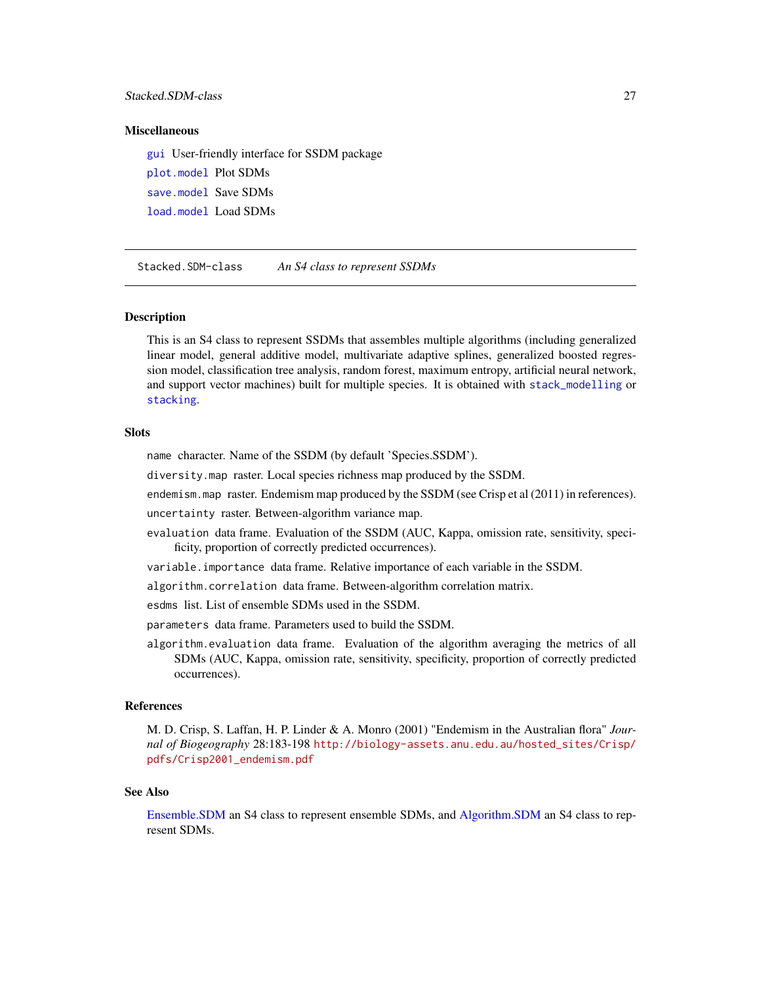## <span id="page-26-0"></span>Stacked.SDM-class 27

#### **Miscellaneous**

[gui](#page-11-1) User-friendly interface for SSDM package [plot.model](#page-22-1) Plot SDMs [save.model](#page-24-1) Save SDMs

[load.model](#page-12-1) Load SDMs

<span id="page-26-1"></span>Stacked.SDM-class *An S4 class to represent SSDMs*

#### **Description**

This is an S4 class to represent SSDMs that assembles multiple algorithms (including generalized linear model, general additive model, multivariate adaptive splines, generalized boosted regression model, classification tree analysis, random forest, maximum entropy, artificial neural network, and support vector machines) built for multiple species. It is obtained with [stack\\_modelling](#page-29-1) or [stacking](#page-27-1).

## **Slots**

name character. Name of the SSDM (by default 'Species.SSDM').

diversity.map raster. Local species richness map produced by the SSDM.

endemism.map raster. Endemism map produced by the SSDM (see Crisp et al (2011) in references).

uncertainty raster. Between-algorithm variance map.

- evaluation data frame. Evaluation of the SSDM (AUC, Kappa, omission rate, sensitivity, specificity, proportion of correctly predicted occurrences).
- variable.importance data frame. Relative importance of each variable in the SSDM.

algorithm.correlation data frame. Between-algorithm correlation matrix.

esdms list. List of ensemble SDMs used in the SSDM.

parameters data frame. Parameters used to build the SSDM.

algorithm.evaluation data frame. Evaluation of the algorithm averaging the metrics of all SDMs (AUC, Kappa, omission rate, sensitivity, specificity, proportion of correctly predicted occurrences).

#### References

M. D. Crisp, S. Laffan, H. P. Linder & A. Monro (2001) "Endemism in the Australian flora" *Journal of Biogeography* 28:183-198 [http://biology-assets.anu.edu.au/hosted\\_sites/Crisp/](http://biology-assets.anu.edu.au/hosted_sites/Crisp/pdfs/Crisp2001_endemism.pdf) [pdfs/Crisp2001\\_endemism.pdf](http://biology-assets.anu.edu.au/hosted_sites/Crisp/pdfs/Crisp2001_endemism.pdf)

## See Also

[Ensemble.SDM](#page-4-1) an S4 class to represent ensemble SDMs, and [Algorithm.SDM](#page-1-1) an S4 class to represent SDMs.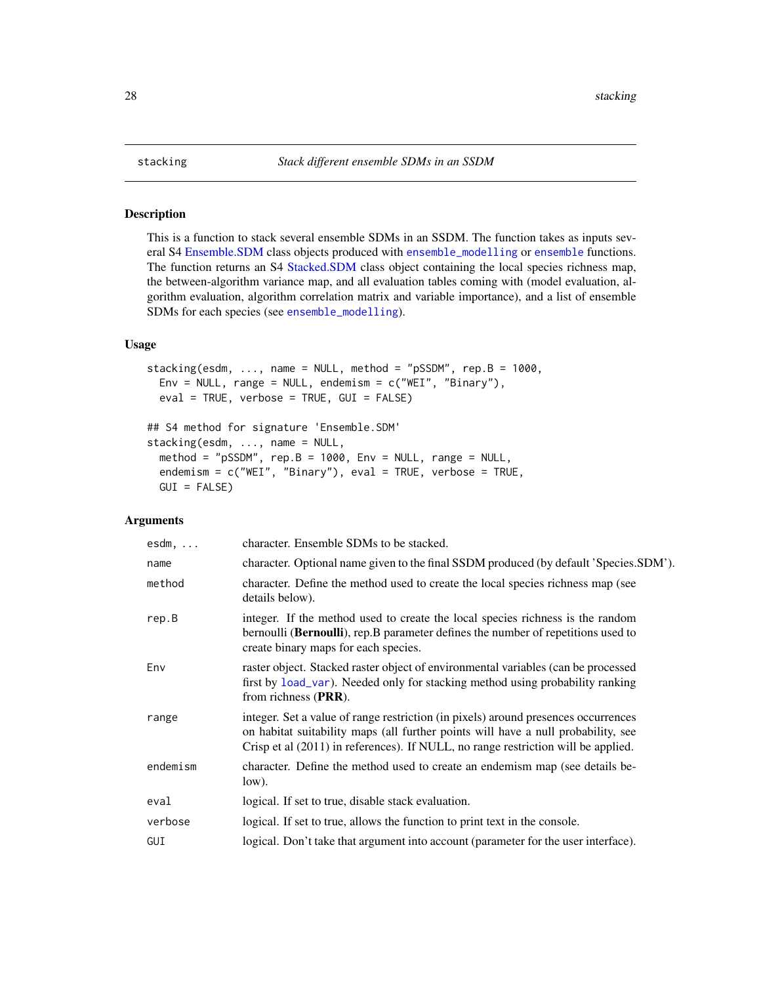This is a function to stack several ensemble SDMs in an SSDM. The function takes as inputs several S4 [Ensemble.SDM](#page-4-1) class objects produced with [ensemble\\_modelling](#page-4-2) or [ensemble](#page-2-1) functions. The function returns an S4 [Stacked.SDM](#page-26-1) class object containing the local species richness map, the between-algorithm variance map, and all evaluation tables coming with (model evaluation, algorithm evaluation, algorithm correlation matrix and variable importance), and a list of ensemble SDMs for each species (see [ensemble\\_modelling](#page-4-2)).

## Usage

```
stacking(esdm, ..., name = NULL, method = "pSSDM", rep.B = 1000,
 Env = NULL, range = NULL, endemism = c("WEI", "Binary"),eval = TRUE, verbose = TRUE, GUI = FALSE)
```

```
## S4 method for signature 'Ensemble.SDM'
stacking(esdm, ..., name = NULL,
 method = "pSSDM", rep.B = 1000, Env = NULL, range = NULL,
 endemism = c("WEI", "Binary"), eval = TRUE, verbose = TRUE,
 GUI = FALSE)
```

| $esdm, \ldots$ | character. Ensemble SDMs to be stacked.                                                                                                                                                                                                                      |
|----------------|--------------------------------------------------------------------------------------------------------------------------------------------------------------------------------------------------------------------------------------------------------------|
| name           | character. Optional name given to the final SSDM produced (by default 'Species.SDM').                                                                                                                                                                        |
| method         | character. Define the method used to create the local species richness map (see<br>details below).                                                                                                                                                           |
| rep.B          | integer. If the method used to create the local species richness is the random<br>bernoulli ( <b>Bernoulli</b> ), rep. B parameter defines the number of repetitions used to<br>create binary maps for each species.                                         |
| Env            | raster object. Stacked raster object of environmental variables (can be processed<br>first by load_var). Needed only for stacking method using probability ranking<br>from richness (PRR).                                                                   |
| range          | integer. Set a value of range restriction (in pixels) around presences occurrences<br>on habitat suitability maps (all further points will have a null probability, see<br>Crisp et al (2011) in references). If NULL, no range restriction will be applied. |
| endemism       | character. Define the method used to create an endemism map (see details be-<br>low).                                                                                                                                                                        |
| eval           | logical. If set to true, disable stack evaluation.                                                                                                                                                                                                           |
| verbose        | logical. If set to true, allows the function to print text in the console.                                                                                                                                                                                   |
| GUI            | logical. Don't take that argument into account (parameter for the user interface).                                                                                                                                                                           |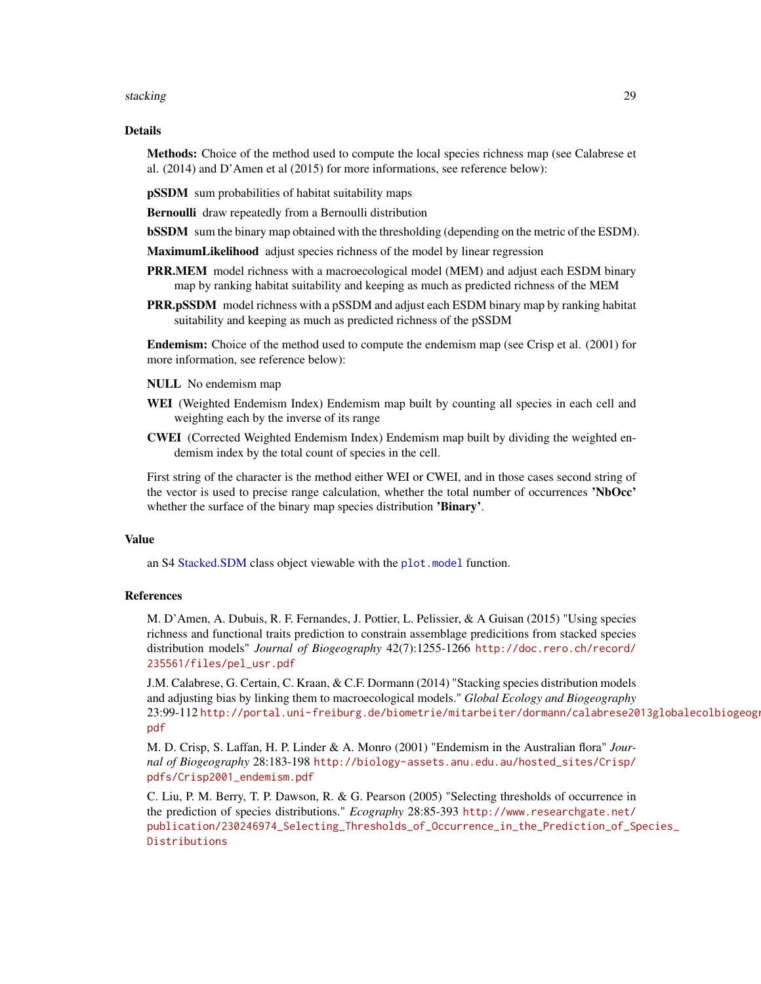#### <span id="page-28-0"></span>stacking 29

#### Details

**Methods:** Choice of the method used to compute the local species richness map (see Calabrese et al. (2014) and D'Amen et al (2015) for more informations, see reference below):

pSSDM sum probabilities of habitat suitability maps

Bernoulli draw repeatedly from a Bernoulli distribution

**bSSDM** sum the binary map obtained with the thresholding (depending on the metric of the ESDM).

MaximumLikelihood adjust species richness of the model by linear regression

- **PRR.MEM** model richness with a macroecological model (MEM) and adjust each ESDM binary map by ranking habitat suitability and keeping as much as predicted richness of the MEM
- **PRR.pSSDM** model richness with a pSSDM and adjust each ESDM binary map by ranking habitat suitability and keeping as much as predicted richness of the pSSDM

Endemism: Choice of the method used to compute the endemism map (see Crisp et al. (2001) for more information, see reference below):

NULL No endemism map

- WEI (Weighted Endemism Index) Endemism map built by counting all species in each cell and weighting each by the inverse of its range
- CWEI (Corrected Weighted Endemism Index) Endemism map built by dividing the weighted endemism index by the total count of species in the cell.

First string of the character is the method either WEI or CWEI, and in those cases second string of the vector is used to precise range calculation, whether the total number of occurrences 'NbOcc' whether the surface of the binary map species distribution 'Binary'.

## Value

an S4 [Stacked.SDM](#page-26-1) class object viewable with the [plot.model](#page-22-1) function.

#### References

M. D'Amen, A. Dubuis, R. F. Fernandes, J. Pottier, L. Pelissier, & A Guisan (2015) "Using species richness and functional traits prediction to constrain assemblage predicitions from stacked species distribution models" *Journal of Biogeography* 42(7):1255-1266 [http://doc.rero.ch/record/](http://doc.rero.ch/record/235561/files/pel_usr.pdf) [235561/files/pel\\_usr.pdf](http://doc.rero.ch/record/235561/files/pel_usr.pdf)

J.M. Calabrese, G. Certain, C. Kraan, & C.F. Dormann (2014) "Stacking species distribution models and adjusting bias by linking them to macroecological models." *Global Ecology and Biogeography* 23:99-112 [http://portal.uni-freiburg.de/biometrie/mitarbeiter/dormann/calabrese20](http://portal.uni-freiburg.de/biometrie/mitarbeiter/dormann/calabrese2013globalecolbiogeogr.pdf)13globalecolbiogeogr. [pdf](http://portal.uni-freiburg.de/biometrie/mitarbeiter/dormann/calabrese2013globalecolbiogeogr.pdf)

M. D. Crisp, S. Laffan, H. P. Linder & A. Monro (2001) "Endemism in the Australian flora" *Journal of Biogeography* 28:183-198 [http://biology-assets.anu.edu.au/hosted\\_sites/Crisp/](http://biology-assets.anu.edu.au/hosted_sites/Crisp/pdfs/Crisp2001_endemism.pdf) [pdfs/Crisp2001\\_endemism.pdf](http://biology-assets.anu.edu.au/hosted_sites/Crisp/pdfs/Crisp2001_endemism.pdf)

C. Liu, P. M. Berry, T. P. Dawson, R. & G. Pearson (2005) "Selecting thresholds of occurrence in the prediction of species distributions." *Ecography* 28:85-393 [http://www.researchgate.net/](http://www.researchgate.net/publication/230246974_Selecting_Thresholds_of_Occurrence_in_the_Prediction_of_Species_Distributions) [publication/230246974\\_Selecting\\_Thresholds\\_of\\_Occurrence\\_in\\_the\\_Prediction\\_of\\_Sp](http://www.researchgate.net/publication/230246974_Selecting_Thresholds_of_Occurrence_in_the_Prediction_of_Species_Distributions)ecies\_ [Distributions](http://www.researchgate.net/publication/230246974_Selecting_Thresholds_of_Occurrence_in_the_Prediction_of_Species_Distributions)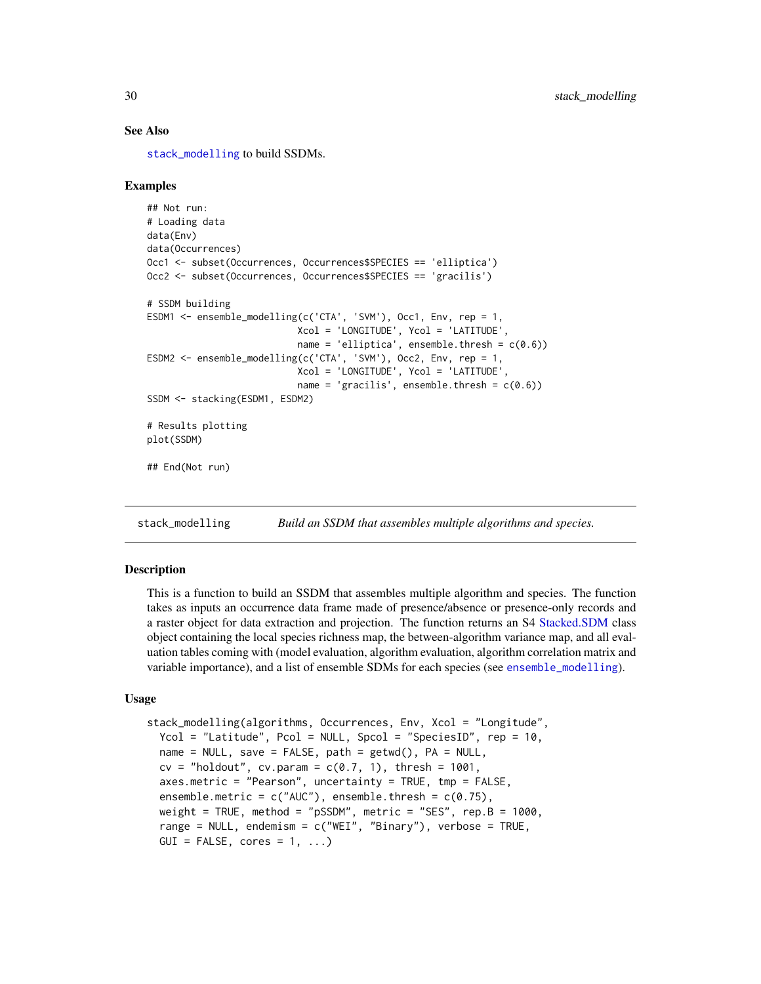## See Also

[stack\\_modelling](#page-29-1) to build SSDMs.

#### Examples

```
## Not run:
# Loading data
data(Env)
data(Occurrences)
Occ1 <- subset(Occurrences, Occurrences$SPECIES == 'elliptica')
Occ2 <- subset(Occurrences, Occurrences$SPECIES == 'gracilis')
# SSDM building
ESDM1 <- ensemble_modelling(c('CTA', 'SVM'), Occ1, Env, rep = 1,
                           Xcol = 'LONGITUDE', Ycol = 'LATITUDE',
                           name = 'elliptica', ensemble.thresh = c(0.6))
ESDM2 <- ensemble_modelling(c('CTA', 'SVM'), Occ2, Env, rep = 1,
                           Xcol = 'LONGITUDE', Ycol = 'LATITUDE',
                           name = 'gracilis', ensemble.thresh = c(0.6))
SSDM <- stacking(ESDM1, ESDM2)
# Results plotting
plot(SSDM)
## End(Not run)
```
<span id="page-29-1"></span>stack\_modelling *Build an SSDM that assembles multiple algorithms and species.*

#### **Description**

This is a function to build an SSDM that assembles multiple algorithm and species. The function takes as inputs an occurrence data frame made of presence/absence or presence-only records and a raster object for data extraction and projection. The function returns an S4 [Stacked.SDM](#page-26-1) class object containing the local species richness map, the between-algorithm variance map, and all evaluation tables coming with (model evaluation, algorithm evaluation, algorithm correlation matrix and variable importance), and a list of ensemble SDMs for each species (see [ensemble\\_modelling](#page-4-2)).

#### Usage

```
stack_modelling(algorithms, Occurrences, Env, Xcol = "Longitude",
 Ycol = "Latitude", Pcol = NULL, Spcol = "SpeciesID", rep = 10,
 name = NULL, save = FALSE, path = getwd(), PA = NULL,
 cv = "holdout", cv.param = c(0.7, 1), thresh = 1001,axes.metric = "Pearson", uncertainty = TRUE, tmp = FALSE,
 ensemble.metric = c("AUC"), ensemble.thresh = c(0.75),
 weight = TRUE, method = "pSSDM", metric = "SES", rep.B = 1000,
 range = NULL, endemism = c("WEI", "Binary"), verbose = TRUE,
 GUI = FALSE, cores = 1, ...)
```
<span id="page-29-0"></span>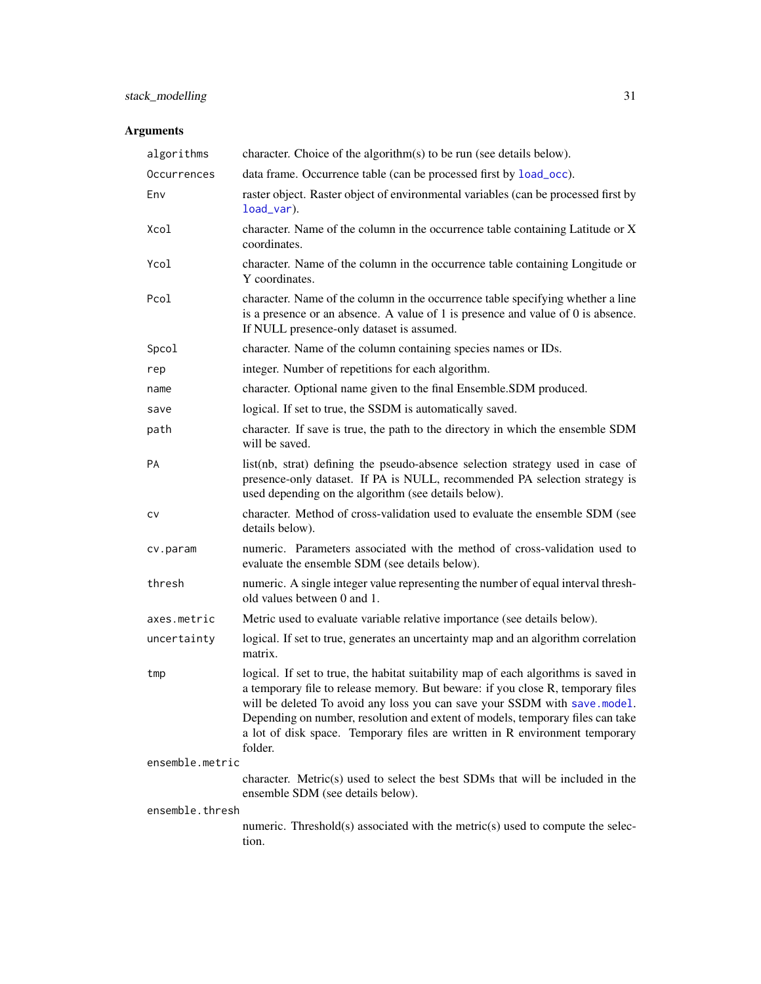<span id="page-30-0"></span>

| algorithms      | character. Choice of the algorithm(s) to be run (see details below).                                                                                                                                                                                                                                                                                                                                                            |
|-----------------|---------------------------------------------------------------------------------------------------------------------------------------------------------------------------------------------------------------------------------------------------------------------------------------------------------------------------------------------------------------------------------------------------------------------------------|
| Occurrences     | data frame. Occurrence table (can be processed first by load_occ).                                                                                                                                                                                                                                                                                                                                                              |
| Env             | raster object. Raster object of environmental variables (can be processed first by<br>load_var).                                                                                                                                                                                                                                                                                                                                |
| Xcol            | character. Name of the column in the occurrence table containing Latitude or X<br>coordinates.                                                                                                                                                                                                                                                                                                                                  |
| Ycol            | character. Name of the column in the occurrence table containing Longitude or<br>Y coordinates.                                                                                                                                                                                                                                                                                                                                 |
| Pcol            | character. Name of the column in the occurrence table specifying whether a line<br>is a presence or an absence. A value of 1 is presence and value of 0 is absence.<br>If NULL presence-only dataset is assumed.                                                                                                                                                                                                                |
| Spcol           | character. Name of the column containing species names or IDs.                                                                                                                                                                                                                                                                                                                                                                  |
| rep             | integer. Number of repetitions for each algorithm.                                                                                                                                                                                                                                                                                                                                                                              |
| name            | character. Optional name given to the final Ensemble.SDM produced.                                                                                                                                                                                                                                                                                                                                                              |
| save            | logical. If set to true, the SSDM is automatically saved.                                                                                                                                                                                                                                                                                                                                                                       |
| path            | character. If save is true, the path to the directory in which the ensemble SDM<br>will be saved.                                                                                                                                                                                                                                                                                                                               |
| PA              | list(nb, strat) defining the pseudo-absence selection strategy used in case of<br>presence-only dataset. If PA is NULL, recommended PA selection strategy is<br>used depending on the algorithm (see details below).                                                                                                                                                                                                            |
| CV              | character. Method of cross-validation used to evaluate the ensemble SDM (see<br>details below).                                                                                                                                                                                                                                                                                                                                 |
| cv.param        | numeric. Parameters associated with the method of cross-validation used to<br>evaluate the ensemble SDM (see details below).                                                                                                                                                                                                                                                                                                    |
| thresh          | numeric. A single integer value representing the number of equal interval thresh-<br>old values between 0 and 1.                                                                                                                                                                                                                                                                                                                |
| axes.metric     | Metric used to evaluate variable relative importance (see details below).                                                                                                                                                                                                                                                                                                                                                       |
| uncertainty     | logical. If set to true, generates an uncertainty map and an algorithm correlation<br>matrix.                                                                                                                                                                                                                                                                                                                                   |
| tmp             | logical. If set to true, the habitat suitability map of each algorithms is saved in<br>a temporary file to release memory. But beware: if you close R, temporary files<br>will be deleted To avoid any loss you can save your SSDM with save.model.<br>Depending on number, resolution and extent of models, temporary files can take<br>a lot of disk space. Temporary files are written in R environment temporary<br>folder. |
| ensemble.metric |                                                                                                                                                                                                                                                                                                                                                                                                                                 |
|                 | character. Metric(s) used to select the best SDMs that will be included in the<br>ensemble SDM (see details below).                                                                                                                                                                                                                                                                                                             |
| ensemble.thresh | numeric. Threshold(s) associated with the metric(s) used to compute the selec-                                                                                                                                                                                                                                                                                                                                                  |
|                 | tion.                                                                                                                                                                                                                                                                                                                                                                                                                           |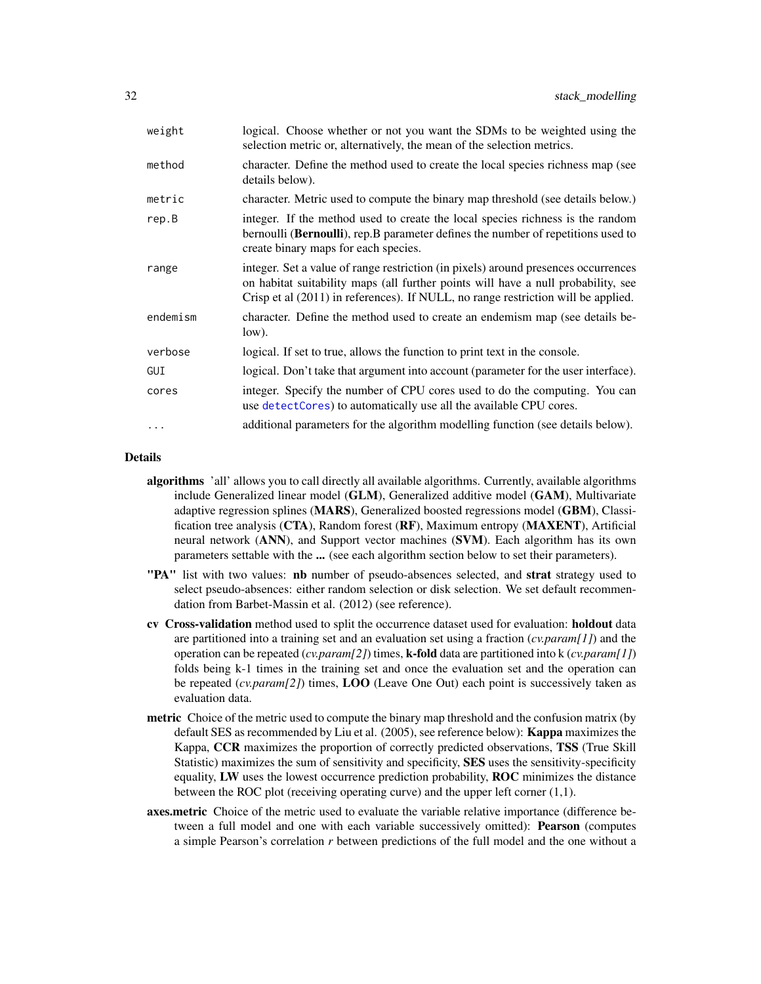<span id="page-31-0"></span>

| weight   | logical. Choose whether or not you want the SDMs to be weighted using the<br>selection metric or, alternatively, the mean of the selection metrics.                                                                                                          |
|----------|--------------------------------------------------------------------------------------------------------------------------------------------------------------------------------------------------------------------------------------------------------------|
| method   | character. Define the method used to create the local species richness map (see<br>details below).                                                                                                                                                           |
| metric   | character. Metric used to compute the binary map threshold (see details below.)                                                                                                                                                                              |
| rep.B    | integer. If the method used to create the local species richness is the random<br>bernoulli (Bernoulli), rep.B parameter defines the number of repetitions used to<br>create binary maps for each species.                                                   |
| range    | integer. Set a value of range restriction (in pixels) around presences occurrences<br>on habitat suitability maps (all further points will have a null probability, see<br>Crisp et al (2011) in references). If NULL, no range restriction will be applied. |
| endemism | character. Define the method used to create an endemism map (see details be-<br>$low)$ .                                                                                                                                                                     |
| verbose  | logical. If set to true, allows the function to print text in the console.                                                                                                                                                                                   |
| GUI      | logical. Don't take that argument into account (parameter for the user interface).                                                                                                                                                                           |
| cores    | integer. Specify the number of CPU cores used to do the computing. You can<br>use detect Cores) to automatically use all the available CPU cores.                                                                                                            |
| $\ddots$ | additional parameters for the algorithm modelling function (see details below).                                                                                                                                                                              |

## Details

- algorithms 'all' allows you to call directly all available algorithms. Currently, available algorithms include Generalized linear model (GLM), Generalized additive model (GAM), Multivariate adaptive regression splines (MARS), Generalized boosted regressions model (GBM), Classification tree analysis (CTA), Random forest (RF), Maximum entropy (MAXENT), Artificial neural network (ANN), and Support vector machines (SVM). Each algorithm has its own parameters settable with the ... (see each algorithm section below to set their parameters).
- "PA" list with two values: nb number of pseudo-absences selected, and strat strategy used to select pseudo-absences: either random selection or disk selection. We set default recommendation from Barbet-Massin et al. (2012) (see reference).
- cv Cross-validation method used to split the occurrence dataset used for evaluation: holdout data are partitioned into a training set and an evaluation set using a fraction (*cv.param[1]*) and the operation can be repeated (*cv.param[2]*) times, k-fold data are partitioned into k (*cv.param[1]*) folds being k-1 times in the training set and once the evaluation set and the operation can be repeated (*cv.param[2]*) times, LOO (Leave One Out) each point is successively taken as evaluation data.
- **metric** Choice of the metric used to compute the binary map threshold and the confusion matrix (by default SES as recommended by Liu et al. (2005), see reference below): **Kappa** maximizes the Kappa, CCR maximizes the proportion of correctly predicted observations, TSS (True Skill Statistic) maximizes the sum of sensitivity and specificity, SES uses the sensitivity-specificity equality, LW uses the lowest occurrence prediction probability, ROC minimizes the distance between the ROC plot (receiving operating curve) and the upper left corner (1,1).
- axes.metric Choice of the metric used to evaluate the variable relative importance (difference between a full model and one with each variable successively omitted): Pearson (computes a simple Pearson's correlation *r* between predictions of the full model and the one without a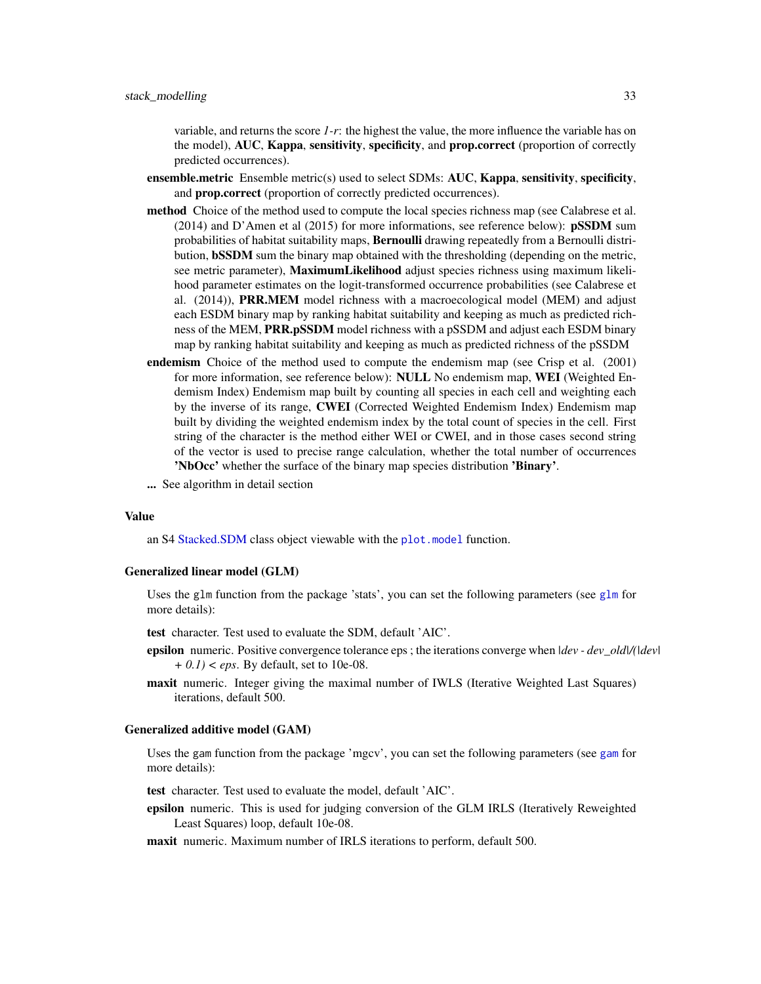<span id="page-32-0"></span>variable, and returns the score *1-r*: the highest the value, the more influence the variable has on the model), AUC, Kappa, sensitivity, specificity, and prop.correct (proportion of correctly predicted occurrences).

- ensemble.metric Ensemble metric(s) used to select SDMs: AUC, Kappa, sensitivity, specificity, and prop.correct (proportion of correctly predicted occurrences).
- method Choice of the method used to compute the local species richness map (see Calabrese et al. (2014) and D'Amen et al (2015) for more informations, see reference below): pSSDM sum probabilities of habitat suitability maps, **Bernoulli** drawing repeatedly from a Bernoulli distribution, bSSDM sum the binary map obtained with the thresholding (depending on the metric, see metric parameter), MaximumLikelihood adjust species richness using maximum likelihood parameter estimates on the logit-transformed occurrence probabilities (see Calabrese et al. (2014)), PRR.MEM model richness with a macroecological model (MEM) and adjust each ESDM binary map by ranking habitat suitability and keeping as much as predicted richness of the MEM, PRR.pSSDM model richness with a pSSDM and adjust each ESDM binary map by ranking habitat suitability and keeping as much as predicted richness of the pSSDM
- endemism Choice of the method used to compute the endemism map (see Crisp et al. (2001) for more information, see reference below): NULL No endemism map, WEI (Weighted Endemism Index) Endemism map built by counting all species in each cell and weighting each by the inverse of its range, CWEI (Corrected Weighted Endemism Index) Endemism map built by dividing the weighted endemism index by the total count of species in the cell. First string of the character is the method either WEI or CWEI, and in those cases second string of the vector is used to precise range calculation, whether the total number of occurrences 'NbOcc' whether the surface of the binary map species distribution 'Binary'.
- ... See algorithm in detail section

#### Value

an S4 [Stacked.SDM](#page-26-1) class object viewable with the [plot.model](#page-22-1) function.

#### Generalized linear model (GLM)

Uses the [glm](#page-0-0) function from the package 'stats', you can set the following parameters (see glm for more details):

test character. Test used to evaluate the SDM, default 'AIC'.

- epsilon numeric. Positive convergence tolerance eps ; the iterations converge when *|dev dev\_old|/(|dev| + 0.1) < eps*. By default, set to 10e-08.
- maxit numeric. Integer giving the maximal number of IWLS (Iterative Weighted Last Squares) iterations, default 500.

#### Generalized additive model (GAM)

Uses the gam function from the package 'mgcv', you can set the following parameters (see [gam](#page-0-0) for more details):

test character. Test used to evaluate the model, default 'AIC'.

epsilon numeric. This is used for judging conversion of the GLM IRLS (Iteratively Reweighted Least Squares) loop, default 10e-08.

maxit numeric. Maximum number of IRLS iterations to perform, default 500.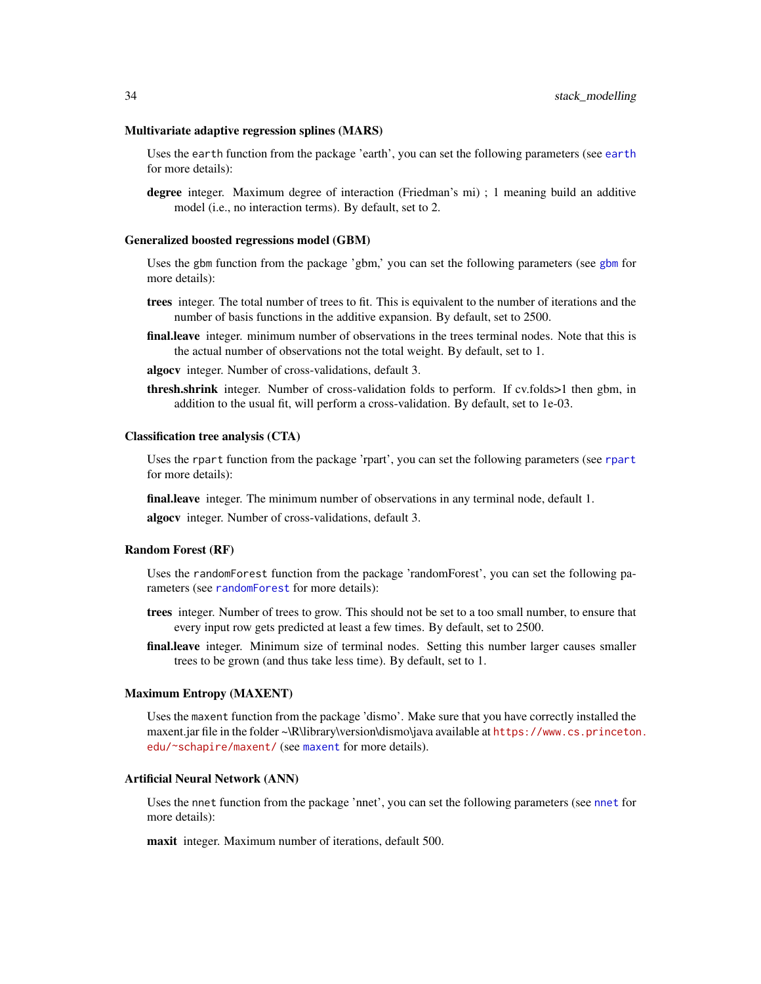#### <span id="page-33-0"></span>Multivariate adaptive regression splines (MARS)

Uses the earth function from the package 'earth', you can set the following parameters (see [earth](#page-0-0) for more details):

degree integer. Maximum degree of interaction (Friedman's mi) ; 1 meaning build an additive model (i.e., no interaction terms). By default, set to 2.

#### Generalized boosted regressions model (GBM)

Uses the gbm function from the package 'gbm,' you can set the following parameters (see [gbm](#page-0-0) for more details):

- trees integer. The total number of trees to fit. This is equivalent to the number of iterations and the number of basis functions in the additive expansion. By default, set to 2500.
- final.leave integer. minimum number of observations in the trees terminal nodes. Note that this is the actual number of observations not the total weight. By default, set to 1.
- algocv integer. Number of cross-validations, default 3.
- thresh.shrink integer. Number of cross-validation folds to perform. If cv.folds>1 then gbm, in addition to the usual fit, will perform a cross-validation. By default, set to 1e-03.

#### Classification tree analysis (CTA)

Uses the rpart function from the package 'rpart', you can set the following parameters (see [rpart](#page-0-0) for more details):

final.leave integer. The minimum number of observations in any terminal node, default 1.

algocv integer. Number of cross-validations, default 3.

#### Random Forest (RF)

Uses the randomForest function from the package 'randomForest', you can set the following parameters (see [randomForest](#page-0-0) for more details):

- trees integer. Number of trees to grow. This should not be set to a too small number, to ensure that every input row gets predicted at least a few times. By default, set to 2500.
- final.leave integer. Minimum size of terminal nodes. Setting this number larger causes smaller trees to be grown (and thus take less time). By default, set to 1.

#### Maximum Entropy (MAXENT)

Uses the maxent function from the package 'dismo'. Make sure that you have correctly installed the maxent.jar file in the folder ~\R\library\version\dismo\java available at [https://www.cs.princeton](https://www.cs.princeton.edu/~schapire/maxent/). [edu/~schapire/maxent/](https://www.cs.princeton.edu/~schapire/maxent/) (see [maxent](#page-0-0) for more details).

#### Artificial Neural Network (ANN)

Uses the nnet function from the package 'nnet', you can set the following parameters (see [nnet](#page-0-0) for more details):

maxit integer. Maximum number of iterations, default 500.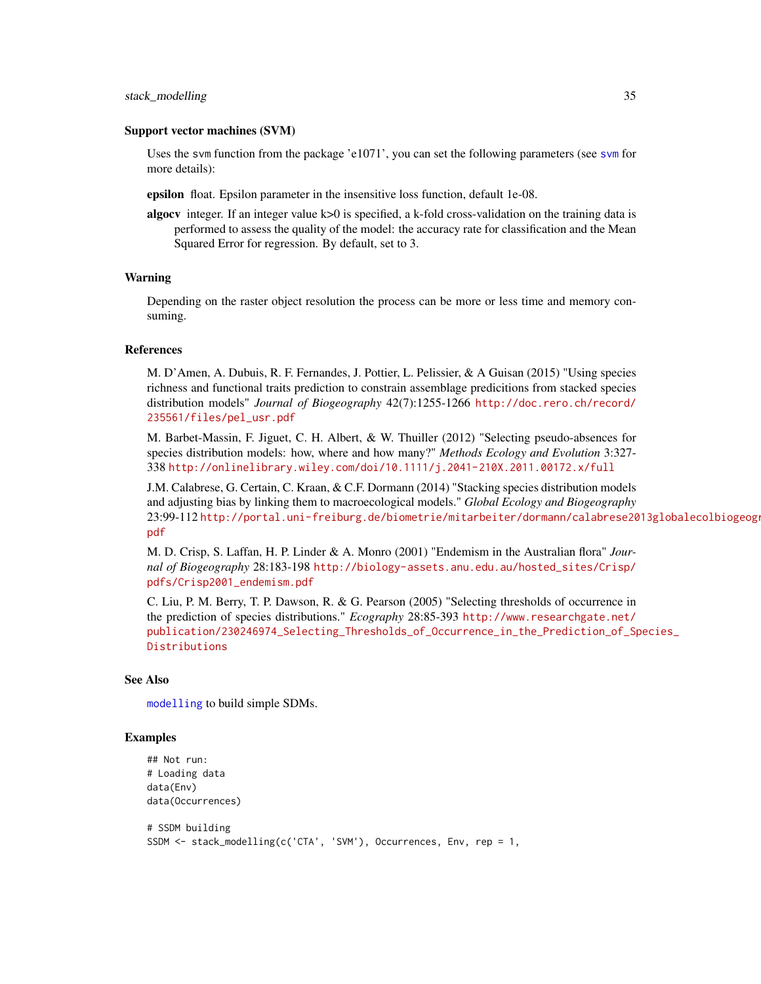#### <span id="page-34-0"></span>Support vector machines (SVM)

Uses the svm function from the package 'e1071', you can set the following parameters (see [svm](#page-0-0) for more details):

epsilon float. Epsilon parameter in the insensitive loss function, default 1e-08.

algocv integer. If an integer value k>0 is specified, a k-fold cross-validation on the training data is performed to assess the quality of the model: the accuracy rate for classification and the Mean Squared Error for regression. By default, set to 3.

#### Warning

Depending on the raster object resolution the process can be more or less time and memory consuming.

#### References

M. D'Amen, A. Dubuis, R. F. Fernandes, J. Pottier, L. Pelissier, & A Guisan (2015) "Using species richness and functional traits prediction to constrain assemblage predicitions from stacked species distribution models" *Journal of Biogeography* 42(7):1255-1266 [http://doc.rero.ch/record/](http://doc.rero.ch/record/235561/files/pel_usr.pdf) [235561/files/pel\\_usr.pdf](http://doc.rero.ch/record/235561/files/pel_usr.pdf)

M. Barbet-Massin, F. Jiguet, C. H. Albert, & W. Thuiller (2012) "Selecting pseudo-absences for species distribution models: how, where and how many?" *Methods Ecology and Evolution* 3:327- 338 <http://onlinelibrary.wiley.com/doi/10.1111/j.2041-210X.2011.00172.x/full>

J.M. Calabrese, G. Certain, C. Kraan, & C.F. Dormann (2014) "Stacking species distribution models and adjusting bias by linking them to macroecological models." *Global Ecology and Biogeography* 23:99-112 [http://portal.uni-freiburg.de/biometrie/mitarbeiter/dormann/calabrese20](http://portal.uni-freiburg.de/biometrie/mitarbeiter/dormann/calabrese2013globalecolbiogeogr.pdf)13globalecolbiogeogr. [pdf](http://portal.uni-freiburg.de/biometrie/mitarbeiter/dormann/calabrese2013globalecolbiogeogr.pdf)

M. D. Crisp, S. Laffan, H. P. Linder & A. Monro (2001) "Endemism in the Australian flora" *Journal of Biogeography* 28:183-198 [http://biology-assets.anu.edu.au/hosted\\_sites/Crisp/](http://biology-assets.anu.edu.au/hosted_sites/Crisp/pdfs/Crisp2001_endemism.pdf) [pdfs/Crisp2001\\_endemism.pdf](http://biology-assets.anu.edu.au/hosted_sites/Crisp/pdfs/Crisp2001_endemism.pdf)

C. Liu, P. M. Berry, T. P. Dawson, R. & G. Pearson (2005) "Selecting thresholds of occurrence in the prediction of species distributions." *Ecography* 28:85-393 [http://www.researchgate.net/](http://www.researchgate.net/publication/230246974_Selecting_Thresholds_of_Occurrence_in_the_Prediction_of_Species_Distributions) [publication/230246974\\_Selecting\\_Thresholds\\_of\\_Occurrence\\_in\\_the\\_Prediction\\_of\\_Sp](http://www.researchgate.net/publication/230246974_Selecting_Thresholds_of_Occurrence_in_the_Prediction_of_Species_Distributions)ecies\_ [Distributions](http://www.researchgate.net/publication/230246974_Selecting_Thresholds_of_Occurrence_in_the_Prediction_of_Species_Distributions)

#### See Also

[modelling](#page-17-1) to build simple SDMs.

## Examples

```
## Not run:
# Loading data
data(Env)
data(Occurrences)
# SSDM building
```

```
SSDM <- stack_modelling(c('CTA', 'SVM'), Occurrences, Env, rep = 1,
```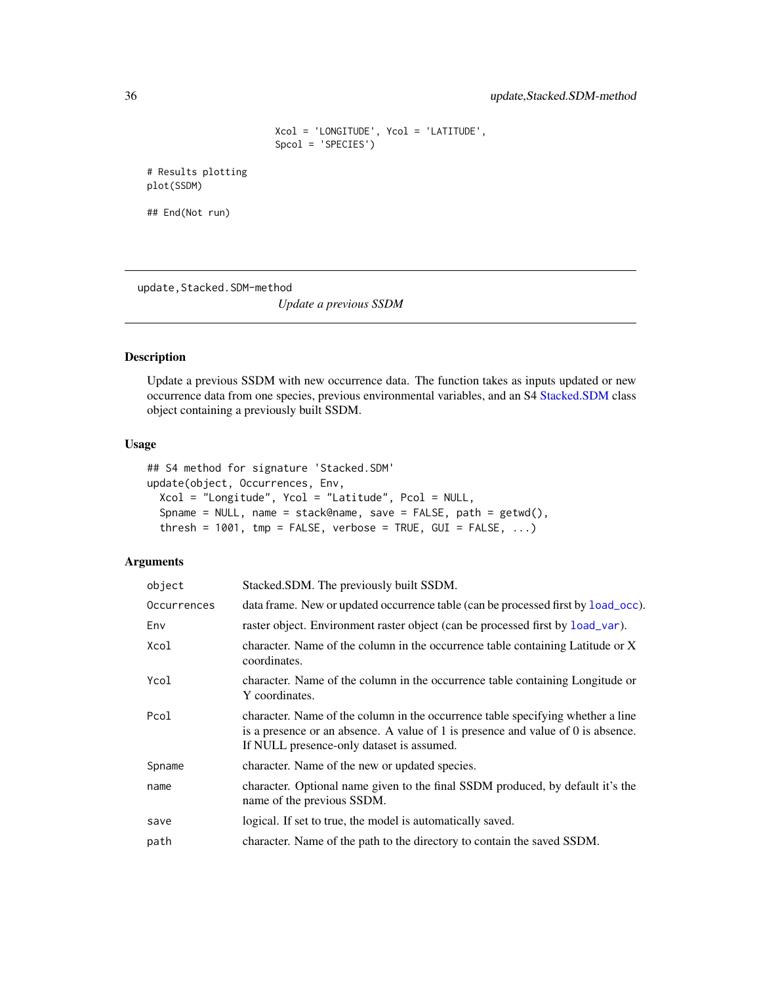```
Xcol = 'LONGITUDE', Ycol = 'LATITUDE',
Spcol = 'SPECIES')
```
<span id="page-35-0"></span># Results plotting plot(SSDM)

## End(Not run)

<span id="page-35-1"></span>update, Stacked.SDM-method

*Update a previous SSDM*

## Description

Update a previous SSDM with new occurrence data. The function takes as inputs updated or new occurrence data from one species, previous environmental variables, and an S4 [Stacked.SDM](#page-26-1) class object containing a previously built SSDM.

## Usage

```
## S4 method for signature 'Stacked.SDM'
update(object, Occurrences, Env,
  Xcol = "Longitude", Ycol = "Latitude", Pcol = NULL,
  Spname = NULL, name = stack@name, save = FALSE, path = getwd(),
  thresh = 1001, tmp = FALSE, verbose = TRUE, GUI = FALSE, \ldots)
```

| object      | Stacked.SDM. The previously built SSDM.                                                                                                                                                                              |
|-------------|----------------------------------------------------------------------------------------------------------------------------------------------------------------------------------------------------------------------|
| Occurrences | data frame. New or updated occurrence table (can be processed first by load_occ).                                                                                                                                    |
| Env         | raster object. Environment raster object (can be processed first by load_var).                                                                                                                                       |
| Xcol        | character. Name of the column in the occurrence table containing Latitude or X<br>coordinates.                                                                                                                       |
| Ycol        | character. Name of the column in the occurrence table containing Longitude or<br>Y coordinates.                                                                                                                      |
| Pcol        | character. Name of the column in the occurrence table specifying whether a line<br>is a presence or an absence. A value of $1$ is presence and value of $0$ is absence.<br>If NULL presence-only dataset is assumed. |
| Spname      | character. Name of the new or updated species.                                                                                                                                                                       |
| name        | character. Optional name given to the final SSDM produced, by default it's the<br>name of the previous SSDM.                                                                                                         |
| save        | logical. If set to true, the model is automatically saved.                                                                                                                                                           |
| path        | character. Name of the path to the directory to contain the saved SSDM.                                                                                                                                              |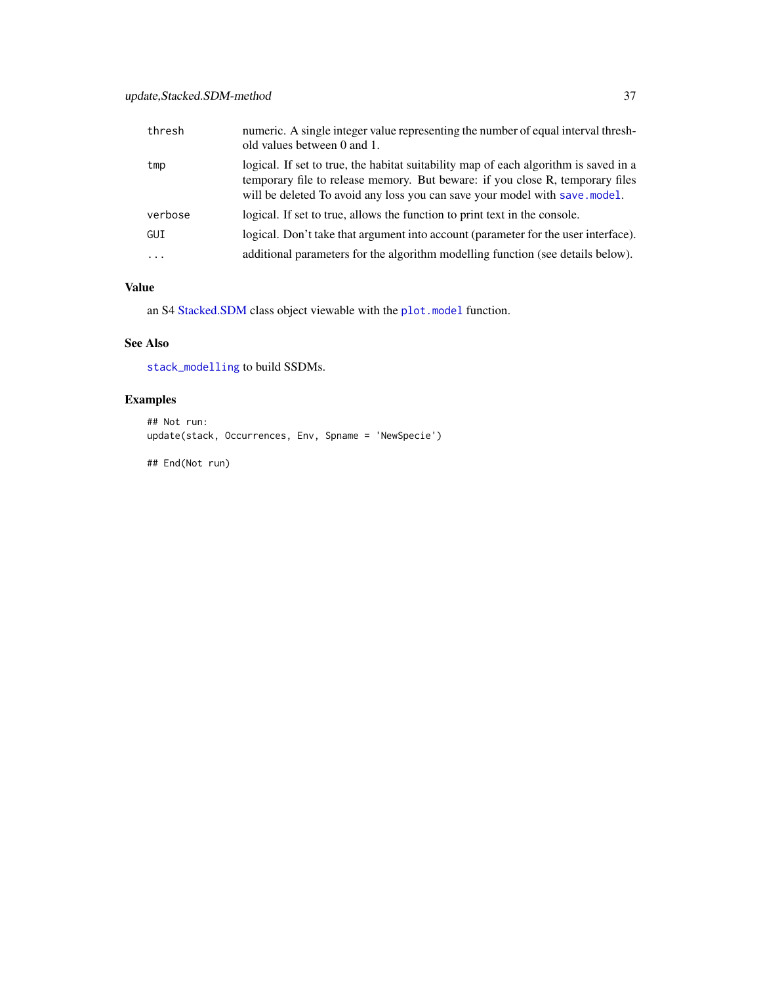## <span id="page-36-0"></span>update,Stacked.SDM-method 37

| thresh    | numeric. A single integer value representing the number of equal interval thresh-<br>old values between 0 and 1.                                                                                                                                    |
|-----------|-----------------------------------------------------------------------------------------------------------------------------------------------------------------------------------------------------------------------------------------------------|
| tmp       | logical. If set to true, the habitat suitability map of each algorithm is saved in a<br>temporary file to release memory. But beware: if you close R, temporary files<br>will be deleted To avoid any loss you can save your model with save model. |
| verbose   | logical. If set to true, allows the function to print text in the console.                                                                                                                                                                          |
| GUI       | logical. Don't take that argument into account (parameter for the user interface).                                                                                                                                                                  |
| $\ddotsc$ | additional parameters for the algorithm modelling function (see details below).                                                                                                                                                                     |

## Value

an S4 [Stacked.SDM](#page-26-1) class object viewable with the [plot.model](#page-22-1) function.

## See Also

[stack\\_modelling](#page-29-1) to build SSDMs.

# Examples

```
## Not run:
update(stack, Occurrences, Env, Spname = 'NewSpecie')
```
## End(Not run)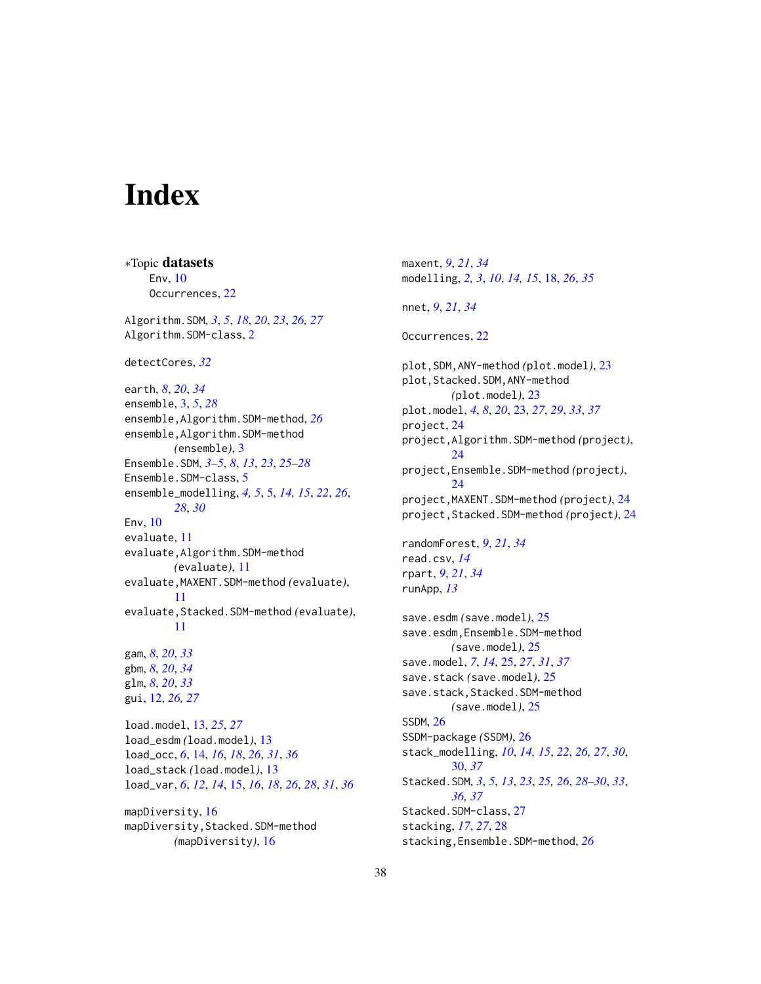# <span id="page-37-0"></span>**Index**

∗Topic datasets Env, [10](#page-9-0) Occurrences, [22](#page-21-0) Algorithm.SDM, *[3](#page-2-0)*, *[5](#page-4-0)*, *[18](#page-17-0)*, *[20](#page-19-0)*, *[23](#page-22-0)*, *[26,](#page-25-0) [27](#page-26-0)* Algorithm.SDM-class, [2](#page-1-0) detectCores, *[32](#page-31-0)* earth, *[8](#page-7-0)*, *[20](#page-19-0)*, *[34](#page-33-0)* ensemble, [3,](#page-2-0) *[5](#page-4-0)*, *[28](#page-27-0)* ensemble,Algorithm.SDM-method, *[26](#page-25-0)* ensemble,Algorithm.SDM-method *(*ensemble*)*, [3](#page-2-0) Ensemble.SDM, *[3](#page-2-0)[–5](#page-4-0)*, *[8](#page-7-0)*, *[13](#page-12-0)*, *[23](#page-22-0)*, *[25–](#page-24-0)[28](#page-27-0)* Ensemble.SDM-class, [5](#page-4-0) ensemble\_modelling, *[4,](#page-3-0) [5](#page-4-0)*, [5,](#page-4-0) *[14,](#page-13-0) [15](#page-14-0)*, *[22](#page-21-0)*, *[26](#page-25-0)*, *[28](#page-27-0)*, *[30](#page-29-0)* Env, [10](#page-9-0) evaluate, [11](#page-10-0) evaluate,Algorithm.SDM-method *(*evaluate*)*, [11](#page-10-0) evaluate,MAXENT.SDM-method *(*evaluate*)*, [11](#page-10-0) evaluate,Stacked.SDM-method *(*evaluate*)*, [11](#page-10-0) gam, *[8](#page-7-0)*, *[20](#page-19-0)*, *[33](#page-32-0)* gbm, *[8](#page-7-0)*, *[20](#page-19-0)*, *[34](#page-33-0)* glm, *[8](#page-7-0)*, *[20](#page-19-0)*, *[33](#page-32-0)* gui, [12,](#page-11-0) *[26,](#page-25-0) [27](#page-26-0)* load.model, [13,](#page-12-0) *[25](#page-24-0)*, *[27](#page-26-0)* load\_esdm *(*load.model*)*, [13](#page-12-0) load\_occ, *[6](#page-5-0)*, [14,](#page-13-0) *[16](#page-15-0)*, *[18](#page-17-0)*, *[26](#page-25-0)*, *[31](#page-30-0)*, *[36](#page-35-0)* load\_stack *(*load.model*)*, [13](#page-12-0) load\_var, *[6](#page-5-0)*, *[12](#page-11-0)*, *[14](#page-13-0)*, [15,](#page-14-0) *[16](#page-15-0)*, *[18](#page-17-0)*, *[26](#page-25-0)*, *[28](#page-27-0)*, *[31](#page-30-0)*, *[36](#page-35-0)* mapDiversity, [16](#page-15-0) mapDiversity,Stacked.SDM-method *(*mapDiversity*)*, [16](#page-15-0)

maxent, *[9](#page-8-0)*, *[21](#page-20-0)*, *[34](#page-33-0)* modelling, *[2,](#page-1-0) [3](#page-2-0)*, *[10](#page-9-0)*, *[14,](#page-13-0) [15](#page-14-0)*, [18,](#page-17-0) *[26](#page-25-0)*, *[35](#page-34-0)* nnet, *[9](#page-8-0)*, *[21](#page-20-0)*, *[34](#page-33-0)* Occurrences, [22](#page-21-0) plot,SDM,ANY-method *(*plot.model*)*, [23](#page-22-0) plot,Stacked.SDM,ANY-method *(*plot.model*)*, [23](#page-22-0) plot.model, *[4](#page-3-0)*, *[8](#page-7-0)*, *[20](#page-19-0)*, [23,](#page-22-0) *[27](#page-26-0)*, *[29](#page-28-0)*, *[33](#page-32-0)*, *[37](#page-36-0)* project, [24](#page-23-0) project,Algorithm.SDM-method *(*project*)*,  $24$ project,Ensemble.SDM-method *(*project*)*,  $24$ project,MAXENT.SDM-method *(*project*)*, [24](#page-23-0) project,Stacked.SDM-method *(*project*)*, [24](#page-23-0) randomForest, *[9](#page-8-0)*, *[21](#page-20-0)*, *[34](#page-33-0)* read.csv, *[14](#page-13-0)* rpart, *[9](#page-8-0)*, *[21](#page-20-0)*, *[34](#page-33-0)* runApp, *[13](#page-12-0)* save.esdm *(*save.model*)*, [25](#page-24-0) save.esdm,Ensemble.SDM-method *(*save.model*)*, [25](#page-24-0) save.model, *[7](#page-6-0)*, *[14](#page-13-0)*, [25,](#page-24-0) *[27](#page-26-0)*, *[31](#page-30-0)*, *[37](#page-36-0)* save.stack *(*save.model*)*, [25](#page-24-0) save.stack,Stacked.SDM-method *(*save.model*)*, [25](#page-24-0) SSDM, [26](#page-25-0) SSDM-package *(*SSDM*)*, [26](#page-25-0) stack\_modelling, *[10](#page-9-0)*, *[14,](#page-13-0) [15](#page-14-0)*, *[22](#page-21-0)*, *[26,](#page-25-0) [27](#page-26-0)*, *[30](#page-29-0)*, [30,](#page-29-0) *[37](#page-36-0)* Stacked.SDM, *[3](#page-2-0)*, *[5](#page-4-0)*, *[13](#page-12-0)*, *[23](#page-22-0)*, *[25,](#page-24-0) [26](#page-25-0)*, *[28](#page-27-0)[–30](#page-29-0)*, *[33](#page-32-0)*, *[36,](#page-35-0) [37](#page-36-0)* Stacked.SDM-class, [27](#page-26-0) stacking, *[17](#page-16-0)*, *[27](#page-26-0)*, [28](#page-27-0) stacking,Ensemble.SDM-method, *[26](#page-25-0)*